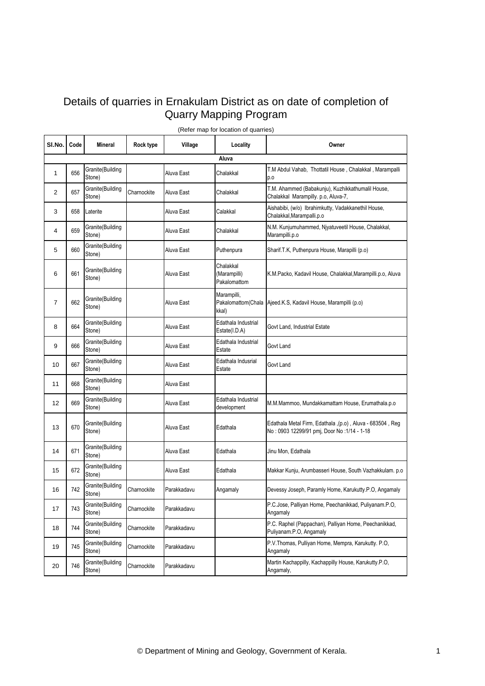## Details of quarries in Ernakulam District as on date of completion of Quarry Mapping Program

| SI.No.         | Code | Mineral                    | Rock type   | Village     | Locality                                  | Owner                                                                                                    |  |  |
|----------------|------|----------------------------|-------------|-------------|-------------------------------------------|----------------------------------------------------------------------------------------------------------|--|--|
| Aluva          |      |                            |             |             |                                           |                                                                                                          |  |  |
| 1              | 656  | Granite(Building<br>Stone) |             | Aluva East  | Chalakkal                                 | T.M Abdul Vahab, Thottatil House, Chalakkal, Marampalli<br>p.o                                           |  |  |
| 2              | 657  | Granite(Building<br>Stone) | Charnockite | Aluva East  | Chalakkal                                 | T.M. Ahammed (Babakunju), Kuzhikkathumalil House,<br>Chalakkal Marampilly. p.o, Aluva-7,                 |  |  |
| 3              | 658  | Laterite                   |             | Aluva East  | Calakkal                                  | Aishabibi, (w/o) Ibrahimkutty, Vadakkanethil House,<br>Chalakkal, Marampalli.p.o                         |  |  |
| 4              | 659  | Granite(Building<br>Stone) |             | Aluva East  | Chalakkal                                 | N.M. Kunjumuhammed, Njyatuveetil House, Chalakkal,<br>Marampilli.p.o                                     |  |  |
| 5              | 660  | Granite(Building<br>Stone) |             | Aluva East  | Puthenpura                                | Sharif.T.K, Puthenpura House, Marapilli (p.o)                                                            |  |  |
| 6              | 661  | Granite(Building<br>Stone) |             | Aluva East  | Chalakkal<br>(Marampilli)<br>Pakalomattom | K.M.Packo, Kadavil House, Chalakkal, Marampilli.p.o, Aluva                                               |  |  |
| $\overline{7}$ | 662  | Granite(Building<br>Stone) |             | Aluva East  | Marampilli,<br>kkal)                      | Pakalomattom(Chala Ajeed.K.S, Kadavil House, Marampilli (p.o)                                            |  |  |
| 8              | 664  | Granite(Building<br>Stone) |             | Aluva East  | Edathala Industrial<br>Estate(I.D.A)      | Govt Land, Industrial Estate                                                                             |  |  |
| 9              | 666  | Granite(Building<br>Stone) |             | Aluva East  | Edathala Industrial<br>Estate             | Govt Land                                                                                                |  |  |
| 10             | 667  | Granite(Building<br>Stone) |             | Aluva East  | Edathala Indusrial<br>Estate              | Govt Land                                                                                                |  |  |
| 11             | 668  | Granite(Building<br>Stone) |             | Aluva East  |                                           |                                                                                                          |  |  |
| 12             | 669  | Granite(Building<br>Stone) |             | Aluva East  | Edathala Industrial<br>development        | M.M.Mammoo, Mundakkamattam House, Erumathala.p.o                                                         |  |  |
| 13             | 670  | Granite(Building<br>Stone) |             | Aluva East  | Edathala                                  | Edathala Metal Firm, Edathala ,(p.o), Aluva - 683504, Reg<br>No: 0903 12299/91 pmj, Door No: 1/14 - 1-18 |  |  |
| 14             | 671  | Granite(Building<br>Stone) |             | Aluva East  | Edathala                                  | Jinu Mon, Edathala                                                                                       |  |  |
| 15             | 672  | Granite(Building<br>Stone) |             | Aluva East  | Edathala                                  | Makkar Kunju, Arumbasseri House, South Vazhakkulam. p.o.                                                 |  |  |
| 16             | 742  | Granite(Building<br>Stone) | Charnockite | Parakkadavu | Angamaly                                  | Devessy Joseph, Paramly Home, Karukutty.P.O, Angamaly                                                    |  |  |
| 17             | 743  | Granite(Building<br>Stone) | Charnockite | Parakkadavu |                                           | P.C.Jose, Palliyan Home, Peechanikkad, Puliyanam.P.O,<br>Angamaly                                        |  |  |
| 18             | 744  | Granite(Building<br>Stone) | Charnockite | Parakkadavu |                                           | P.C. Raphel (Pappachan), Palliyan Home, Peechanikkad,<br>Puliyanam.P.O, Angamaly                         |  |  |
| 19             | 745  | Granite(Building<br>Stone) | Charnockite | Parakkadavu |                                           | P.V. Thomas, Pulliyan Home, Mempra, Karukutty, P.O.<br>Angamaly                                          |  |  |
| 20             | 746  | Granite(Building<br>Stone) | Charnockite | Parakkadavu |                                           | Martin Kachappilly, Kachappilly House, Karukutty.P.O,<br>Angamaly,                                       |  |  |

(Refer map for location of quarries)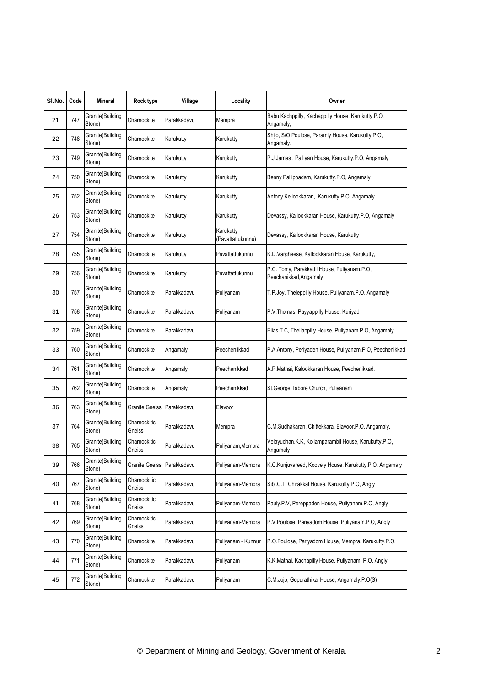| SI.No. | Code | <b>Mineral</b>             | Rock type                  | Village     | Locality                       | Owner                                                                  |
|--------|------|----------------------------|----------------------------|-------------|--------------------------------|------------------------------------------------------------------------|
| 21     | 747  | Granite(Building<br>Stone) | Charnockite                | Parakkadavu | Mempra                         | Babu Kachppilly, Kachappilly House, Karukutty.P.O,<br>Angamaly,        |
| 22     | 748  | Granite(Building<br>Stone) | Charnockite                | Karukutty   | Karukutty                      | Shijo, S/O Poulose, Paramly House, Karukutty P.O,<br>Angamaly.         |
| 23     | 749  | Granite(Building<br>Stone) | Charnockite                | Karukutty   | Karukutty                      | P.J.James, Palliyan House, Karukutty.P.O, Angamaly                     |
| 24     | 750  | Granite(Building<br>Stone) | Charnockite                | Karukutty   | Karukutty                      | Benny Pallippadam, Karukutty.P.O, Angamaly                             |
| 25     | 752  | Granite(Building<br>Stone) | Charnockite                | Karukutty   | Karukutty                      | Antony Kellookkaran, Karukutty.P.O, Angamaly                           |
| 26     | 753  | Granite(Building<br>Stone) | Charnockite                | Karukutty   | Karukutty                      | Devassy, Kallookkaran House, Karukutty.P.O, Angamaly                   |
| 27     | 754  | Granite(Building<br>Stone) | Charnockite                | Karukutty   | Karukutty<br>(Pavattattukunnu) | Devassy, Kallookkaran House, Karukutty                                 |
| 28     | 755  | Granite(Building<br>Stone) | Charnockite                | Karukutty   | Pavattattukunnu                | K.D.Vargheese, Kallookkaran House, Karukutty,                          |
| 29     | 756  | Granite(Building<br>Stone) | Charnockite                | Karukutty   | Pavattattukunnu                | P.C. Tomy, Parakkattil House, Puliyanam.P.O,<br>Peechanikkad, Angamaly |
| 30     | 757  | Granite(Building<br>Stone) | Charnockite                | Parakkadavu | Puliyanam                      | T.P.Joy, Theleppilly House, Puliyanam.P.O, Angamaly                    |
| 31     | 758  | Granite(Building<br>Stone) | Charnockite                | Parakkadavu | Puliyanam                      | P.V. Thomas, Payyappilly House, Kuriyad                                |
| 32     | 759  | Granite(Building<br>Stone) | Charnockite                | Parakkadavu |                                | Elias.T.C, Thellappilly House, Puliyanam.P.O, Angamaly.                |
| 33     | 760  | Granite(Building<br>Stone) | Charnockite                | Angamaly    | Peecheniikkad                  | P.A.Antony, Periyaden House, Puliyanam.P.O, Peechenikkad               |
| 34     | 761  | Granite(Building<br>Stone) | Charnockite                | Angamaly    | Peechenikkad                   | A.P.Mathai, Kalookkaran House, Peechenikkad.                           |
| 35     | 762  | Granite(Building<br>Stone) | Charnockite                | Angamaly    | Peechenikkad                   | St.George Tabore Church, Puliyanam                                     |
| 36     | 763  | Granite(Building<br>Stone) | Granite Gneiss             | Parakkadavu | Elavoor                        |                                                                        |
| 37     | 764  | Granite(Building<br>Stone) | Charnockitic<br>Gneiss     | Parakkadavu | Mempra                         | C.M.Sudhakaran, Chittekkara, Elavoor.P.O, Angamaly.                    |
| 38     | 765  | Granite(Building<br>Stone) | Charnockitic<br>Gneiss     | Parakkadavu | Puliyanam, Mempra              | Velayudhan.K.K, Kollamparambil House, Karukutty.P.O,<br>Angamaly       |
| 39     | 766  | Granite(Building<br>Stone) | Granite Gneiss Parakkadavu |             | Puliyanam-Mempra               | K.C.Kunjuvareed, Koovely House, Karukutty.P.O, Angamaly                |
| 40     | 767  | Granite(Building<br>Stone) | Charnockitic<br>Gneiss     | Parakkadavu | Puliyanam-Mempra               | Sibi.C.T, Chirakkal House, Karukutty.P.O, Angly                        |
| 41     | 768  | Granite(Building<br>Stone) | Charnockitic<br>Gneiss     | Parakkadavu | Puliyanam-Mempra               | Pauly.P.V, Pereppaden House, Puliyanam.P.O, Angly                      |
| 42     | 769  | Granite(Building<br>Stone) | Charnockitic<br>Gneiss     | Parakkadavu | Puliyanam-Mempra               | P.V.Poulose, Pariyadom House, Puliyanam.P.O, Angly                     |
| 43     | 770  | Granite(Building<br>Stone) | Charnockite                | Parakkadavu | Puliyanam - Kunnur             | P.O.Poulose, Pariyadom House, Mempra, Karukutty.P.O.                   |
| 44     | 771  | Granite(Building<br>Stone) | Charnockite                | Parakkadavu | Puliyanam                      | K.K.Mathai, Kachapilly House, Puliyanam. P.O, Angly,                   |
| 45     | 772  | Granite(Building<br>Stone) | Charnockite                | Parakkadavu | Puliyanam                      | C.M.Jojo, Gopurathikal House, Angamaly.P.O(S)                          |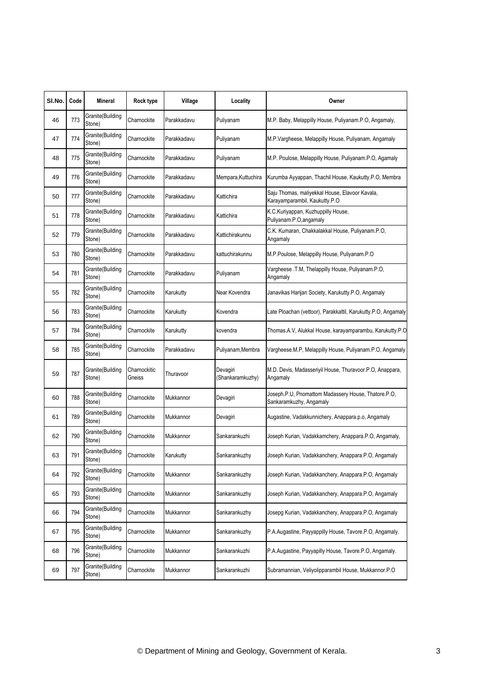| SI.No. | Code | <b>Mineral</b>              | Rock type              | Village     | Locality                     | Owner                                                                           |
|--------|------|-----------------------------|------------------------|-------------|------------------------------|---------------------------------------------------------------------------------|
| 46     | 773  | Granite(Building<br>Stone)  | Charnockite            | Parakkadavu | Puliyanam                    | M.P. Baby, Melappilly House, Puliyanam.P.O, Angamaly,                           |
| 47     | 774  | Granite(Building<br>Stone)  | Charnockite            | Parakkadavu | Puliyanam                    | M.P.Vargheese, Melappilly House, Puliyanam, Angamaly                            |
| 48     | 775  | Granite(Building<br>Stone)  | Charnockite            | Parakkadavu | Puliyanam                    | M.P. Poulose, Melappilly House, Puliyanam.P.O, Agamaly                          |
| 49     | 776  | Granite(Building<br>Stone)  | Charnockite            | Parakkadavu | Mempara, Kuttuchira          | Kurumba Ayyappan, Thachil House, Kaukutty.P.O, Membra                           |
| 50     | 777  | Granite(Building<br>Stone)  | Charnockite            | Parakkadavu | Kattichira                   | Saju Thomas, maliyekkal House, Elavoor Kavala,<br>Karayamparambil, Kaukutty.P.O |
| 51     | 778  | Granite(Building<br>Stone)  | Charnockite            | Parakkadavu | Kattichira                   | K.C.Kuriyappan, Kuzhuppilly House,<br>Puliyanam.P.O, angamaly                   |
| 52     | 779  | Granite(Building<br>Stone)  | Charnockite            | Parakkadavu | Kattichirakunnu              | C.K. Kumaran, Chakkalakkal House, Puliyanam.P.O,<br>Angamaly                    |
| 53     | 780  | Granite(Building<br>Stone)  | Charnockite            | Parakkadavu | kattuchirakunnu              | M.P.Poulose, Melappilly House, Puliyanam.P.O                                    |
| 54     | 781  | Granite(Building<br>Stone)  | Charnockite            | Parakkadavu | Puliyanam                    | Vargheese .T.M, Thelappilly House, Puliyanam.P.O,<br>Angamaly                   |
| 55     | 782  | Granite(Building<br>Stone)  | Charnockite            | Karukutty   | Near Kovendra                | Janavikas Harijan Society, Karukutty.P.O, Angamaly                              |
| 56     | 783  | Granite(Building<br>Stone)  | Charnockite            | Karukutty   | Kovendra                     | Late Ploachan (vettoor), Parakkattil, Karukutty.P.O, Angamaly                   |
| 57     | 784  | Granite(Building<br>Stone)  | Charnockite            | Karukutty   | kovendra                     | Thomas.A.V, Alukkal House, karayamparambu, Karukutty.P.O                        |
| 58     | 785  | Granite(Building<br>Stone)  | Charnockite            | Parakkadavu | Puliyanam, Membra            | Vargheese.M.P, Melappilly House, Puliyanam.P.O, Angamaly                        |
| 59     | 787  | Granite(Building<br>Stone)  | Charnockitic<br>Gneiss | Thuravoor   | Devagiri<br>(Shankaramkuzhy) | M.D. Devis, Madasseriyil House, Thuravoor.P.O, Anappara,<br>Angamaly            |
| 60     | 788  | Granite(Building<br>Stone)  | Charnockite            | Mukkannor   | Devagiri                     | Joseph.P.U, Pnomattom Madassery House, Thatore.P.O,<br>Sankaramkuzhy, Angamaly  |
| 61     | 789  | Granite(Building<br>Stone)  | Charnockite            | Mukkannor   | Devagiri                     | Augastine, Vadakkunnichery, Anappara.p.o, Angamaly                              |
| 62     | 790  | Granite(Building<br>Stone)  | Charnockite            | Mukkannor   | Sankarankuzhi                | Joseph Kurian, Vadakkamchery, Anappara.P.O, Angamaly,                           |
| 63     | 791  | Granite (Building<br>Stone) | Charnockite            | Karukutty   | Sankarankuzhy                | Joseph Kurian, Vadakkanchery, Anappara.P.O, Angamaly                            |
| 64     | 792  | Granite(Building<br>Stone)  | Charnockite            | Mukkannor   | Sankarankuzhy                | Joseph Kurian, Vadakkanchery, Anappara.P.O. Angamaly                            |
| 65     | 793  | Granite(Building<br>Stone)  | Charnockite            | Mukkannor   | Sankarankuzhy                | Joseph Kurian, Vadakkanchery, Anappara.P.O, Angamaly                            |
| 66     | 794  | Granite(Building<br>Stone)  | Charnockite            | Mukkannor   | Sankarankuzhy                | Josepg Kurian, Vadakkanchery, Anappara.P.O, Angamaly                            |
| 67     | 795  | Granite(Building<br>Stone)  | Charnockite            | Mukkannor   | Sankarankuzhy                | P.A.Augastine, Payyappilly House, Tavore.P.O, Angamaly.                         |
| 68     | 796  | Granite(Building<br>Stone)  | Charnockite            | Mukkannor   | Sankarankuzhi                | P.A.Augastine, Payyapilly House, Tavore.P.O, Angamaly.                          |
| 69     | 797  | Granite(Building<br>Stone)  | Charnockite            | Mukkannor   | Sankarankuzhi                | Subramannian, Veliyolipparambil House, Mukkannor.P.O.                           |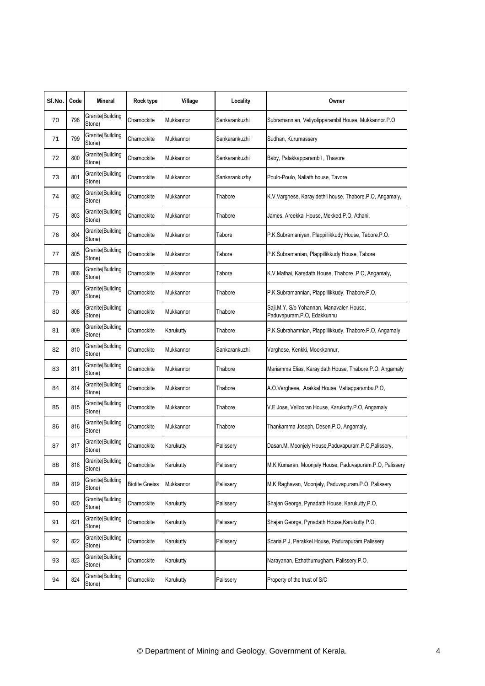| SI.No. | Code | Mineral                    | Rock type             | Village   | Locality      | Owner                                                                  |
|--------|------|----------------------------|-----------------------|-----------|---------------|------------------------------------------------------------------------|
| 70     | 798  | Granite(Building<br>Stone) | Charnockite           | Mukkannor | Sankarankuzhi | Subramannian, Veliyolipparambil House, Mukkannor.P.O                   |
| 71     | 799  | Granite(Building<br>Stone) | Charnockite           | Mukkannor | Sankarankuzhi | Sudhan, Kurumassery                                                    |
| 72     | 800  | Granite(Building<br>Stone) | Charnockite           | Mukkannor | Sankarankuzhi | Baby, Palakkapparambil, Thavore                                        |
| 73     | 801  | Granite(Building<br>Stone) | Charnockite           | Mukkannor | Sankarankuzhy | Poulo-Poulo, Naliath house, Tavore                                     |
| 74     | 802  | Granite(Building<br>Stone) | Charnockite           | Mukkannor | Thabore       | K.V.Varghese, Karayidethil house, Thabore.P.O, Angamaly,               |
| 75     | 803  | Granite(Building<br>Stone) | Charnockite           | Mukkannor | Thabore       | James, Areekkal House, Mekked.P.O, Athani,                             |
| 76     | 804  | Granite(Building<br>Stone) | Charnockite           | Mukkannor | Tabore        | P.K.Subramaniyan, Plappillikkudy House, Tabore.P.O.                    |
| 77     | 805  | Granite(Building<br>Stone) | Charnockite           | Mukkannor | Tabore        | P.K.Subramanian, Plappillikkudy House, Tabore                          |
| 78     | 806  | Granite(Building<br>Stone) | Charnockite           | Mukkannor | Tabore        | K.V.Mathai, Karedath House, Thabore .P.O, Angamaly,                    |
| 79     | 807  | Granite(Building<br>Stone) | Charnockite           | Mukkannor | Thabore       | P.K.Subramannian, Plappillikkudy, Thabore.P.O,                         |
| 80     | 808  | Granite(Building<br>Stone) | Charnockite           | Mukkannor | Thabore       | Saji.M.Y, S/o Yohannan, Manavalen House,<br>Paduvapuram.P.O, Edakkunnu |
| 81     | 809  | Granite(Building<br>Stone) | Charnockite           | Karukutty | Thabore       | P.K.Subrahamnian, Plappillikkudy, Thabore.P.O, Angamaly                |
| 82     | 810  | Granite(Building<br>Stone) | Charnockite           | Mukkannor | Sankarankuzhi | Varghese, Kenkki, Mookkannur,                                          |
| 83     | 811  | Granite(Building<br>Stone) | Charnockite           | Mukkannor | Thabore       | Mariamma Elias, Karayidath House, Thabore.P.O, Angamaly                |
| 84     | 814  | Granite(Building<br>Stone) | Charnockite           | Mukkannor | Thabore       | A.O.Varghese, Arakkal House, Vattapparambu.P.O,                        |
| 85     | 815  | Granite(Building<br>Stone) | Charnockite           | Mukkannor | Thabore       | V.E.Jose, Vellooran House, Karukutty.P.O, Angamaly                     |
| 86     | 816  | Granite(Building<br>Stone) | Charnockite           | Mukkannor | Thabore       | Thankamma Joseph, Desen.P.O, Angamaly,                                 |
| 87     | 817  | Granite(Building<br>Stone) | Charnockite           | Karukutty | Palissery     | Dasan.M, Moonjely House, Paduvapuram.P.O, Palissery,                   |
| 88     | 818  | Granite(Building<br>Stone) | Charnockite           | Karukutty | Palissery     | M.K.Kumaran, Moonjely House, Paduvapuram.P.O, Palissery                |
| 89     | 819  | Granite(Building<br>Stone) | <b>Biotite Gneiss</b> | Mukkannor | Palissery     | M.K.Raghavan, Moonjely, Paduvapuram.P.O, Palissery                     |
| 90     | 820  | Granite(Building<br>Stone) | Charnockite           | Karukutty | Palissery     | Shajan George, Pynadath House, Karukutty.P.O,                          |
| 91     | 821  | Granite(Building<br>Stone) | Charnockite           | Karukutty | Palissery     | Shajan George, Pynadath House, Karukutty.P.O,                          |
| 92     | 822  | Granite(Building<br>Stone) | Charnockite           | Karukutty | Palissery     | Scaria.P.J, Perakkel House, Padurapuram, Palissery                     |
| 93     | 823  | Granite(Building<br>Stone) | Charnockite           | Karukutty |               | Narayanan, Ezhathumugham, Palissery.P.O,                               |
| 94     | 824  | Granite(Building<br>Stone) | Charnockite           | Karukutty | Palissery     | Property of the trust of S/C                                           |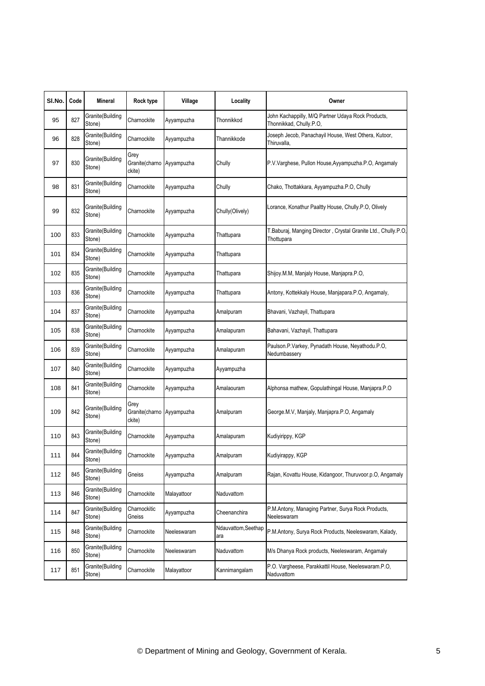| SI.No. | Code | Mineral                    | Rock type                        | Village     | Locality                   | Owner                                                                         |
|--------|------|----------------------------|----------------------------------|-------------|----------------------------|-------------------------------------------------------------------------------|
| 95     | 827  | Granite(Building<br>Stone) | Charnockite                      | Ayyampuzha  | Thonnikkod                 | John Kachappilly, M/Q Partner Udaya Rock Products,<br>Thonnikkad, Chully.P.O, |
| 96     | 828  | Granite(Building<br>Stone) | Charnockite                      | Ayyampuzha  | Thannikkode                | Joseph Jecob, Panachayil House, West Othera, Kutoor,<br>Thiruvalla.           |
| 97     | 830  | Granite(Building<br>Stone) | Grey<br>Granite(charno<br>ckite) | Ayyampuzha  | Chully                     | P.V.Varghese, Pullon House, Ayyampuzha.P.O, Angamaly                          |
| 98     | 831  | Granite(Building<br>Stone) | Charnockite                      | Ayyampuzha  | Chully                     | Chako, Thottakkara, Ayyampuzha.P.O, Chully                                    |
| 99     | 832  | Granite(Building<br>Stone) | Charnockite                      | Ayyampuzha  | Chully(Olively)            | Lorance, Konathur Paaltty House, Chully.P.O, Olively                          |
| 100    | 833  | Granite(Building<br>Stone) | Charnockite                      | Ayyampuzha  | Thattupara                 | T.Baburaj, Manging Director, Crystal Granite Ltd., Chully.P.O,<br>Thottupara  |
| 101    | 834  | Granite(Building<br>Stone) | Charnockite                      | Ayyampuzha  | Thattupara                 |                                                                               |
| 102    | 835  | Granite(Building<br>Stone) | Charnockite                      | Ayyampuzha  | Thattupara                 | Shijoy.M.M, Manjaly House, Manjapra.P.O,                                      |
| 103    | 836  | Granite(Building<br>Stone) | Charnockite                      | Ayyampuzha  | Thattupara                 | Antony, Kottekkaly House, Manjapara.P.O, Angamaly,                            |
| 104    | 837  | Granite(Building<br>Stone) | Charnockite                      | Ayyampuzha  | Amalpuram                  | Bhavani, Vazhayil, Thattupara                                                 |
| 105    | 838  | Granite(Building<br>Stone) | Charnockite                      | Ayyampuzha  | Amalapuram                 | Bahavani, Vazhayil, Thattupara                                                |
| 106    | 839  | Granite(Building<br>Stone) | Charnockite                      | Ayyampuzha  | Amalapuram                 | Paulson.P.Varkey, Pynadath House, Neyathodu.P.O,<br>Nedumbassery              |
| 107    | 840  | Granite(Building<br>Stone) | Charnockite                      | Ayyampuzha  | Ayyampuzha                 |                                                                               |
| 108    | 841  | Granite(Building<br>Stone) | Charnockite                      | Ayyampuzha  | Amalaouram                 | Alphonsa mathew, Gopulathingal House, Manjapra.P.O                            |
| 109    | 842  | Granite(Building<br>Stone) | Grey<br>Granite(charno<br>ckite) | Ayyampuzha  | Amalpuram                  | George.M.V, Manjaly, Manjapra.P.O, Angamaly                                   |
| 110    | 843  | Granite(Building<br>Stone) | Charnockite                      | Ayyampuzha  | Amalapuram                 | Kudiyirippy, KGP                                                              |
| 111    | 844  | Granite(Building<br>Stone) | Charnockite                      | Ayyampuzha  | Amalpuram                  | Kudiyirappy, KGP                                                              |
| 112    | 845  | Granite(Building<br>Stone) | Gneiss                           | Ayyampuzha  | Amalpuram                  | Rajan, Kovattu House, Kidangoor, Thuruvoor.p.O, Angamaly                      |
| 113    | 846  | Granite(Building<br>Stone) | Charnockite                      | Malayattoor | Naduvattom                 |                                                                               |
| 114    | 847  | Granite(Building<br>Stone) | Charnockitic<br>Gneiss           | Ayyampuzha  | Cheenanchira               | P.M.Antony, Managing Partner, Surya Rock Products,<br>Neeleswaram             |
| 115    | 848  | Granite(Building<br>Stone) | Charnockite                      | Neeleswaram | Ndauvattom, Seethap<br>ara | P.M.Antony, Surya Rock Products, Neeleswaram, Kalady,                         |
| 116    | 850  | Granite(Building<br>Stone) | Charnockite                      | Neeleswaram | Naduvattom                 | M/s Dhanya Rock products, Neeleswaram, Angamaly                               |
| 117    | 851  | Granite(Building<br>Stone) | Charnockite                      | Malayattoor | Kannimangalam              | P.O. Vargheese, Parakkattil House, Neeleswaram.P.O,<br>Naduvattom             |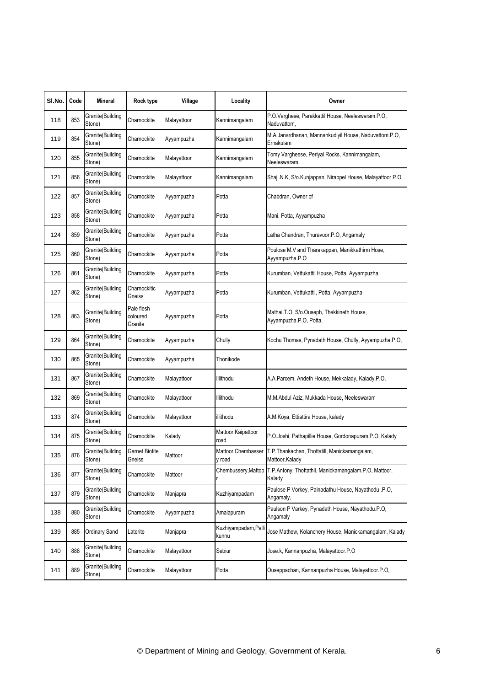| SI.No. | Code | Mineral                     | Rock type                         | Village     | Locality                      | Owner                                                                                |
|--------|------|-----------------------------|-----------------------------------|-------------|-------------------------------|--------------------------------------------------------------------------------------|
| 118    | 853  | Granite(Building<br>Stone)  | Charnockite                       | Malayattoor | Kannimangalam                 | P.O.Varghese, Parakkattil House, Neeleswaram.P.O,<br>Naduvattom,                     |
| 119    | 854  | Granite(Building<br>Stone)  | Charnockite                       | Ayyampuzha  | Kannimangalam                 | M.A.Janardhanan, Mannankudiyil House, Naduvattom.P.O,<br>Ernakulam                   |
| 120    | 855  | Granite(Building<br>Stone)  | Charnockite                       | Malayattoor | Kannimangalam                 | Tomy Vargheese, Periyal Rocks, Kannimangalam,<br>Neeleswaram,                        |
| 121    | 856  | Granite(Building<br>Stone)  | Charnockite                       | Malayattoor | Kannimangalam                 | Shaji.N.K, S/o.Kunjappan, Nirappel House, Malayattoor.P.O                            |
| 122    | 857  | Granite(Building<br>Stone)  | Charnockite                       | Ayyampuzha  | Potta                         | Chabdran, Owner of                                                                   |
| 123    | 858  | Granite(Building<br>Stone)  | Charnockite                       | Ayyampuzha  | Potta                         | Mani, Potta, Ayyampuzha                                                              |
| 124    | 859  | Granite(Building<br>Stone)  | Charnockite                       | Ayyampuzha  | Potta                         | Latha Chandran, Thuravoor.P.O, Angamaly                                              |
| 125    | 860  | Granite(Building<br>Stone)  | Charnockite                       | Ayyampuzha  | Potta                         | Poulose M.V and Tharakappan, Manikkathirm Hose,<br>Ayyampuzha.P.O                    |
| 126    | 861  | Granite(Building<br>Stone)  | Charnockite                       | Ayyampuzha  | Potta                         | Kurumban, Vettukattil House, Potta, Ayyampuzha                                       |
| 127    | 862  | Granite(Building<br>Stone)  | Charnockitic<br>Gneiss            | Ayyampuzha  | Potta                         | Kurumban, Vettukattil, Potta, Ayyampuzha                                             |
| 128    | 863  | Granite(Building<br>Stone)  | Pale flesh<br>coloured<br>Granite | Ayyampuzha  | Potta                         | Mathai.T.O, S/o.Ouseph, Thekkineth House,<br>Ayyampuzha.P.O, Potta,                  |
| 129    | 864  | Granite(Building<br>Stone)  | Charnockite                       | Ayyampuzha  | Chully                        | Kochu Thomas, Pynadath House, Chully, Ayyampuzha.P.O,                                |
| 130    | 865  | Granite(Building<br>Stone)  | Charnockite                       | Ayyampuzha  | Thonikode                     |                                                                                      |
| 131    | 867  | Granite(Building<br>Stone)  | Charnockite                       | Malayattoor | Illithodu                     | A.A.Parcem, Andeth House, Mekkalady, Kalady.P.O,                                     |
| 132    | 869  | Granite(Building<br>Stone)  | Charnockite                       | Malayattoor | Illithodu                     | M.M.Abdul Aziz, Mukkada House, Neeleswaram                                           |
| 133    | 874  | Granite(Building<br>Stone)  | Charnockite                       | Malayattoor | illithodu                     | A.M.Koya, Ettiattira House, kalady                                                   |
| 134    | 875  | Granite(Building<br>Stone)  | Charnockite                       | Kalady      | Mattoor, Kaipattoor<br>road   | P.O.Joshi, Pathapillie House, Gordonapuram.P.O, Kalady                               |
| 135    | 876  | Granite (Building<br>Stone) | <b>Garnet Biotite</b><br>Gneiss   | Mattoor     | y road                        | Mattoor, Chembasser T.P. Thankachan, Thottatill, Manickamangalam,<br>Mattoor, Kalady |
| 136    | 877  | Granite(Building<br>Stone)  | Charnockite                       | Mattoor     | Chembussery, Mattoo           | T.P.Antony, Thottathil, Manickamangalam.P.O, Mattoor,<br>Kalady                      |
| 137    | 879  | Granite(Building<br>Stone)  | Charnockite                       | Manjapra    | Kuzhiyampadam                 | Paulose P Vorkey, Painadathu House, Nayathodu .P.O,<br>Angamaly,                     |
| 138    | 880  | Granite(Building<br>Stone)  | Charnockite                       | Ayyampuzha  | Amalapuram                    | Paulson P Varkey, Pynadath House, Nayathodu.P.O,<br>Angamaly                         |
| 139    | 885  | Ordinary Sand               | Laterite                          | Manjapra    | Kuzhiyampadam, Palli<br>kunnu | Jose Mathew, Kolanchery House, Manickamangalam, Kalady                               |
| 140    | 888  | Granite(Building<br>Stone)  | Charnockite                       | Malayattoor | Sebiur                        | Jose.k, Kannanpuzha, Malayattoor.P.O                                                 |
| 141    | 889  | Granite(Building<br>Stone)  | Charnockite                       | Malayattoor | Potta                         | Ouseppachan, Kannanpuzha House, Malayattoor.P.O.                                     |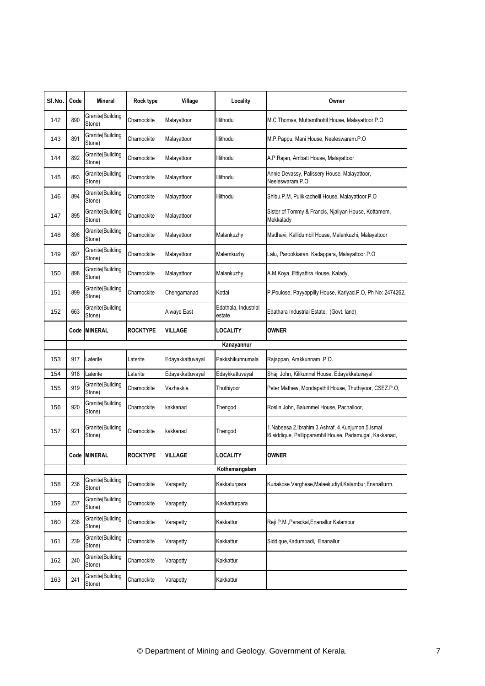| SI.No. | Code | Mineral                    | Rock type       | Village          | Locality                       | Owner                                                                                                            |
|--------|------|----------------------------|-----------------|------------------|--------------------------------|------------------------------------------------------------------------------------------------------------------|
| 142    | 890  | Granite(Building<br>Stone) | Charnockite     | Malayattoor      | Illithodu                      | M.C. Thomas, Muttamthottil House, Malayattoor.P.O                                                                |
| 143    | 891  | Granite(Building<br>Stone) | Charnockite     | Malayattoor      | Illithodu                      | M.P.Pappu, Mani House, Neeleswaram.P.O.                                                                          |
| 144    | 892  | Granite(Building<br>Stone) | Charnockite     | Malayattoor      | Illithodu                      | A.P.Rajan, Ambatt House, Malayattoor                                                                             |
| 145    | 893  | Granite(Building<br>Stone) | Charnockite     | Malayattoor      | Illithodu                      | Annie Devassy, Palissery House, Malayattoor,<br>Neeleswaram.P.O                                                  |
| 146    | 894  | Granite(Building<br>Stone) | Charnockite     | Malayattoor      | Illithodu                      | Shibu.P.M, Pulikkachelil House, Malayattoor.P.O                                                                  |
| 147    | 895  | Granite(Building<br>Stone) | Charnockite     | Malayattoor      |                                | Sister of Tommy & Francis, Njaliyan House, Kottamem,<br>Mekkalady                                                |
| 148    | 896  | Granite(Building<br>Stone) | Charnockite     | Malayattoor      | Malankuzhy                     | Madhavi, Kallidumbil House, Malenkuzhi, Malayattoor                                                              |
| 149    | 897  | Granite(Building<br>Stone) | Charnockite     | Malayattoor      | Malemkuzhy                     | Lalu, Parookkaran, Kadappara, Malayattoor.P.O                                                                    |
| 150    | 898  | Granite(Building<br>Stone) | Charnockite     | Malayattoor      | Malankuzhy                     | A.M.Koya, Ettiyattira House, Kalady,                                                                             |
| 151    | 899  | Granite(Building<br>Stone) | Charnockite     | Chengamanad      | Kottai                         | P.Poulose, Payyappilly House, Kariyad.P.O, Ph No: 2474262,                                                       |
| 152    | 663  | Granite(Building<br>Stone) |                 | Alwaye East      | Edathala, Industrial<br>estate | Edathara Industrial Estate, (Govt. land)                                                                         |
|        |      | Code MINERAL               | <b>ROCKTYPE</b> | <b>VILLAGE</b>   | LOCALITY                       | <b>OWNER</b>                                                                                                     |
|        |      |                            |                 |                  | Kanayannur                     |                                                                                                                  |
| 153    | 917  | Laterite                   | Laterite        | Edayakkattuvayal | Pakkshikunnumala               | Rajappan, Arakkunnam .P.O.                                                                                       |
| 154    | 918  | Laterite                   | Laterite        | Edayakkattuvayal | Edaykkattuvayal                | Shaji John, Kilikunnel House, Edayakkatuvayal                                                                    |
| 155    | 919  | Granite(Building<br>Stone) | Charnockite     | Vazhakkla        | Thuthiyoor                     | Peter Mathew, Mondapathil House, Thuthiyoor, CSEZ.P.O,                                                           |
| 156    | 920  | Granite(Building<br>Stone) | Charnockite     | kakkanad         | Thengod                        | Roslin John, Balummel House, Pachalloor,                                                                         |
| 157    | 921  | Granite(Building<br>Stone) | Charnockite     | kakkanad         | Thengod                        | 1. Nabeesa 2. Ibrahim 3. Ashraf, 4. Kunjumon 5. Ismai<br>16.siddique, Pallipparambil House, Padamugal, Kakkanad, |
|        |      | Code MINERAL               | <b>ROCKTYPE</b> | <b>VILLAGE</b>   | <b>LOCALITY</b>                | <b>OWNER</b>                                                                                                     |
|        |      |                            |                 |                  | Kothamangalam                  |                                                                                                                  |
| 158    | 236  | Granite(Building<br>Stone) | Charnockite     | Varapetty        | Kakkaturpara                   | Kuriakose Varghese, Malaekudiyil, Kalambur, Enanallurm.                                                          |
| 159    | 237  | Granite(Building<br>Stone) | Charnockite     | Varapetty        | Kakkatturpara                  |                                                                                                                  |
| 160    | 238  | Granite(Building<br>Stone) | Charnockite     | Varapetty        | Kakkattur                      | Reji P.M., Parackal, Enanallur Kalambur                                                                          |
| 161    | 239  | Granite(Building<br>Stone) | Charnockite     | Varapetty        | Kakkattur                      | Siddique, Kadumpadi, Enanallur                                                                                   |
| 162    | 240  | Granite(Building<br>Stone) | Charnockite     | Varapetty        | Kakkattur                      |                                                                                                                  |
| 163    | 241  | Granite(Building<br>Stone) | Charnockite     | Varapetty        | Kakkattur                      |                                                                                                                  |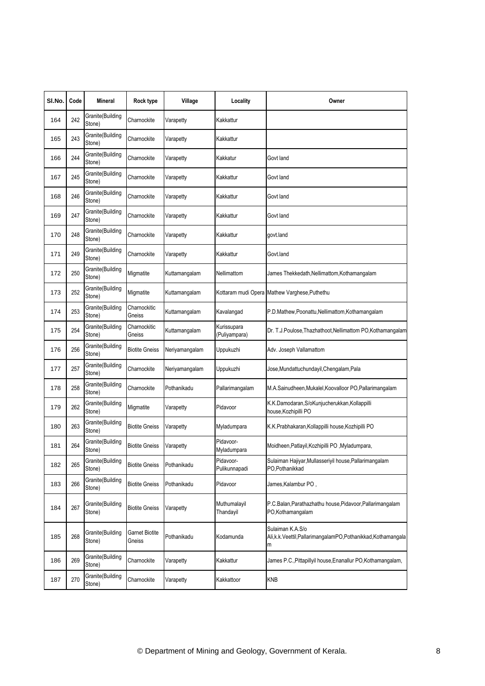| SI.No. | Code | Mineral                    | Rock type                       | Village        | Locality                     | Owner                                                                                    |
|--------|------|----------------------------|---------------------------------|----------------|------------------------------|------------------------------------------------------------------------------------------|
| 164    | 242  | Granite(Building<br>Stone) | Charnockite                     | Varapetty      | Kakkattur                    |                                                                                          |
| 165    | 243  | Granite(Building<br>Stone) | Charnockite                     | Varapetty      | Kakkattur                    |                                                                                          |
| 166    | 244  | Granite(Building<br>Stone) | Charnockite                     | Varapetty      | Kakkatur                     | Govt land                                                                                |
| 167    | 245  | Granite(Building<br>Stone) | Charnockite                     | Varapetty      | Kakkattur                    | Govt land                                                                                |
| 168    | 246  | Granite(Building<br>Stone) | Charnockite                     | Varapetty      | Kakkattur                    | Govt land                                                                                |
| 169    | 247  | Granite(Building<br>Stone) | Charnockite                     | Varapetty      | Kakkattur                    | Govt land                                                                                |
| 170    | 248  | Granite(Building<br>Stone) | Charnockite                     | Varapetty      | Kakkattur                    | govt.land                                                                                |
| 171    | 249  | Granite(Building<br>Stone) | Charnockite                     | Varapetty      | Kakkattur                    | Govt.land                                                                                |
| 172    | 250  | Granite(Building<br>Stone) | Migmatite                       | Kuttamangalam  | Nellimattom                  | James Thekkedath, Nellimattom, Kothamangalam                                             |
| 173    | 252  | Granite(Building<br>Stone) | Migmatite                       | Kuttamangalam  |                              | Kottaram mudi Opera Mathew Varghese, Puthethu                                            |
| 174    | 253  | Granite(Building<br>Stone) | Charnockitic<br>Gneiss          | Kuttamangalam  | Kavalangad                   | P.D.Mathew,Poonattu,Nellimattom,Kothamangalam                                            |
| 175    | 254  | Granite(Building<br>Stone) | Charnockitic<br>Gneiss          | Kuttamangalam  | Kurissupara<br>(Puliyampara) | Dr. T.J.Poulose, Thazhathoot, Nellimattom PO, Kothamangalam                              |
| 176    | 256  | Granite(Building<br>Stone) | <b>Biotite Gneiss</b>           | Neriyamangalam | Uppukuzhi                    | Adv. Joseph Vallamattom                                                                  |
| 177    | 257  | Granite(Building<br>Stone) | Charnockite                     | Neriyamangalam | Uppukuzhi                    | Jose, Mundattuchundayil, Chengalam, Pala                                                 |
| 178    | 258  | Granite(Building<br>Stone) | Charnockite                     | Pothanikadu    | Pallarimangalam              | M.A.Sainudheen, Mukalel, Koovalloor PO, Pallarimangalam                                  |
| 179    | 262  | Granite(Building<br>Stone) | Migmatite                       | Varapetty      | Pidavoor                     | K.K.Damodaran, S/oKunjucherukkan, Kollappilli<br>house, Kozhipilli PO                    |
| 180    | 263  | Granite(Building<br>Stone) | <b>Biotite Gneiss</b>           | Varapetty      | Myladumpara                  | K.K.Prabhakaran, Kollappilli house, Kozhipilli PO                                        |
| 181    | 264  | Granite(Building<br>Stone) | <b>Biotite Gneiss</b>           | Varapetty      | Pidavoor-<br>Myladumpara     | Moidheen, Patlayil, Kozhipilli PO, Myladumpara,                                          |
| 182    | 265  | Granite(Building<br>Stone) | <b>Biotite Gneiss</b>           | Pothanikadu    | Pidavoor-<br>Pulikunnapadi   | Sulaiman Hajiyar, Mullasseriyil house, Pallarimangalam<br>PO, Pothanikkad                |
| 183    | 266  | Granite(Building<br>Stone) | <b>Biotite Gneiss</b>           | Pothanikadu    | Pidavoor                     | James, Kalambur PO,                                                                      |
| 184    | 267  | Granite(Building<br>Stone) | <b>Biotite Gneiss</b>           | Varapetty      | Muthumalayil<br>Thandayil    | P.C.Balan, Parathazhathu house, Pidavoor, Pallarimangalam<br>PO,Kothamangalam            |
| 185    | 268  | Granite(Building<br>Stone) | <b>Garnet Biotite</b><br>Gneiss | Pothanikadu    | Kodamunda                    | Sulaiman K.A.S/o<br>Ali, k.k. Veettil, PallarimangalamPO, Pothanikkad, Kothamangala<br>m |
| 186    | 269  | Granite(Building<br>Stone) | Charnockite                     | Varapetty      | Kakkattur                    | James P.C., Pittapillyil house, Enanallur PO, Kothamangalam,                             |
| 187    | 270  | Granite(Building<br>Stone) | Charnockite                     | Varapetty      | Kakkattoor                   | <b>KNB</b>                                                                               |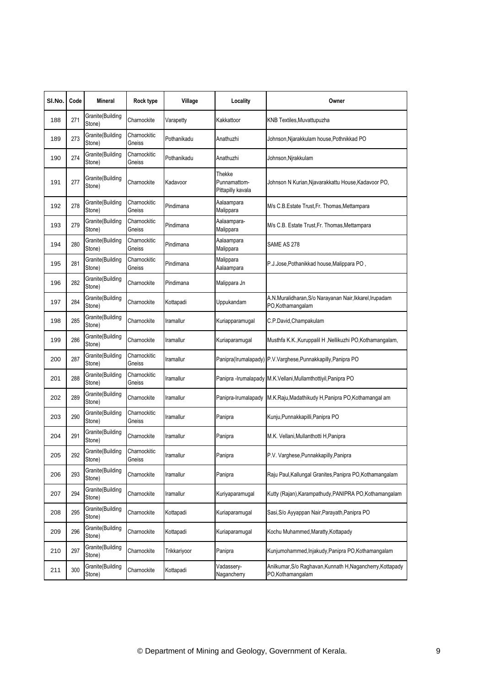| SI.No. | Code | <b>Mineral</b>              | Rock type              | Village          | Locality                                    | Owner                                                                          |
|--------|------|-----------------------------|------------------------|------------------|---------------------------------------------|--------------------------------------------------------------------------------|
| 188    | 271  | Granite(Building<br>Stone)  | Charnockite            | Varapetty        | Kakkattoor                                  | KNB Textiles, Muvattupuzha                                                     |
| 189    | 273  | Granite(Building<br>Stone)  | Charnockitic<br>Gneiss | Pothanikadu      | Anathuzhi                                   | Johnson,Njarakkulam house,Pothnikkad PO                                        |
| 190    | 274  | Granite(Building<br>Stone)  | Charnockitic<br>Gneiss | Pothanikadu      | Anathuzhi                                   | Johnson,Njrakkulam                                                             |
| 191    | 277  | Granite(Building<br>Stone)  | Charnockite            | Kadavoor         | Thekke<br>Punnamattom-<br>Pittapilly kavala | Johnson N Kurian, Njavarakkattu House, Kadavoor PO,                            |
| 192    | 278  | Granite(Building<br>Stone)  | Charnockitic<br>Gneiss | Pindimana        | Aalaampara<br>Malippara                     | M/s C.B.Estate Trust, Fr. Thomas, Mettampara                                   |
| 193    | 279  | Granite(Building<br>Stone)  | Charnockitic<br>Gneiss | Pindimana        | Aalaampara-<br>Malippara                    | M/s C.B. Estate Trust, Fr. Thomas, Mettampara                                  |
| 194    | 280  | Granite(Building<br>Stone)  | Charnockitic<br>Gneiss | Pindimana        | Aalaampara<br>Malippara                     | SAME AS 278                                                                    |
| 195    | 281  | Granite(Building<br>Stone)  | Charnockitic<br>Gneiss | Pindimana        | Malippara<br>Aalaampara                     | P.J.Jose, Pothanikkad house, Malippara PO,                                     |
| 196    | 282  | Granite(Building<br>Stone)  | Charnockite            | Pindimana        | Malippara Jn                                |                                                                                |
| 197    | 284  | Granite(Building<br>Stone)  | Charnockite            | Kottapadi        | Uppukandam                                  | A.N.Muralidharan, S/o Narayanan Nair, Ikkarel, Irupadam<br>PO,Kothamangalam    |
| 198    | 285  | Granite(Building<br>Stone)  | Charnockite            | Iramallur        | Kuriapparamugal                             | C.P.David, Champakulam                                                         |
| 199    | 286  | Granite(Building<br>Stone)  | Charnockite            | Iramallur        | Kuriaparamugal                              | Musthfa K.K., Kuruppalil H, Nellikuzhi PO, Kothamangalam,                      |
| 200    | 287  | Granite(Building<br>Stone)  | Charnockitic<br>Gneiss | <b>Iramallur</b> |                                             | Panipra(Irumalapady) P.V.Varghese,Punnakkapilly,Panipra PO                     |
| 201    | 288  | Granite(Building<br>Stone)  | Charnockitic<br>Gneiss | Iramallur        |                                             | Panipra - Irumalapady M.K. Vellani, Mullamthottiyil, Panipra PO                |
| 202    | 289  | Granite(Building<br>Stone)  | Charnockite            | Iramallur        | Panipra-Irumalapady                         | M.K.Raju, Madathikudy H, Panipra PO, Kothamangal am                            |
| 203    | 290  | Granite(Building<br>Stone)  | Charnockitic<br>Gneiss | Iramallur        | Panipra                                     | Kunju, Punnakkapilli, Panipra PO                                               |
| 204    | 291  | Granite(Building<br>Stone)  | Charnockite            | <b>Iramallur</b> | Panipra                                     | M.K. Vellani, Mullanthotti H, Panipra                                          |
| 205    | 292  | Granite (Building<br>Stone) | Charnockitic<br>Gneiss | Iramallur        | Panipra                                     | P.V. Varghese, Punnakkapilly, Panipra                                          |
| 206    | 293  | Granite(Building<br>Stone)  | Charnockite            | Iramallur        | Panipra                                     | Raju Paul, Kallungal Granites, Panipra PO, Kothamangalam                       |
| 207    | 294  | Granite(Building<br>Stone)  | Charnockite            | Iramallur        | Kuriyaparamugal                             | Kutty (Rajan), Karampathudy, PANIPRA PO, Kothamangalam                         |
| 208    | 295  | Granite(Building<br>Stone)  | Charnockite            | Kottapadi        | Kuriaparamugal                              | Sasi, S/o Ayyappan Nair, Parayath, Panipra PO                                  |
| 209    | 296  | Granite(Building<br>Stone)  | Charnockite            | Kottapadi        | Kuriaparamugal                              | Kochu Muhammed, Maratty, Kottapady                                             |
| 210    | 297  | Granite(Building<br>Stone)  | Charnockite            | Trikkariyoor     | Panipra                                     | Kunjumohammed, Injakudy, Panipra PO, Kothamangalam                             |
| 211    | 300  | Granite(Building<br>Stone)  | Charnockite            | Kottapadi        | Vadassery-<br>Nagancherry                   | Anilkumar, S/o Raghavan, Kunnath H, Nagancherry, Kottapady<br>PO,Kothamanqalam |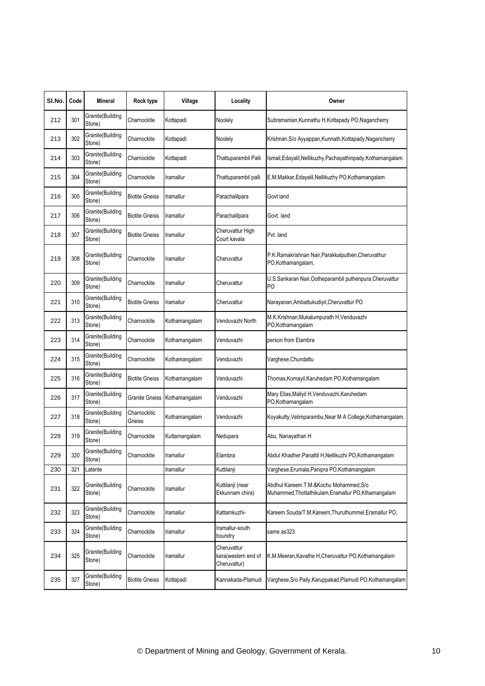| SI.No. | Code | <b>Mineral</b>             | Rock type              | Village       | Locality                                           | Owner                                                                                         |
|--------|------|----------------------------|------------------------|---------------|----------------------------------------------------|-----------------------------------------------------------------------------------------------|
| 212    | 301  | Granite(Building<br>Stone) | Charnockite            | Kottapadi     | Noolely                                            | Subramanian, Kunnathu H, Kottapady PO, Nagancherry                                            |
| 213    | 302  | Granite(Building<br>Stone) | Charnockite            | Kottapadi     | Noolely                                            | Krishnan, S/o Ayyappan, Kunnath, Kottapady, Nagancherry                                       |
| 214    | 303  | Granite(Building<br>Stone) | Charnockite            | Kottapadi     | Thattuparambil Palli                               | Ismail, Edayalil, Nellikuzhy, Pachayathinpady, Kothamangalam                                  |
| 215    | 304  | Granite(Building<br>Stone) | Charnockite            | Iramallur     | Thattuparambil palli                               | E.M.Makkar, Edayalil, Nellikuzhy PO, Kothamangalam                                            |
| 216    | 305  | Granite(Building<br>Stone) | <b>Biotite Gneiss</b>  | Iramallur     | Parachalilpara                                     | Govt land                                                                                     |
| 217    | 306  | Granite(Building<br>Stone) | <b>Biotite Gneiss</b>  | Iramallur     | Parachalilpara                                     | Govt. land                                                                                    |
| 218    | 307  | Granite(Building<br>Stone) | <b>Biotite Gneiss</b>  | Iramallur     | Cheruvattur High<br>Court kavala                   | Pvt. land                                                                                     |
| 219    | 308  | Granite(Building<br>Stone) | Charnockite            | Iramallur     | Cheruvattur                                        | P.K.Ramakrishnan Nair,Parakkalputhen,Cheruvathur<br>PO, Kothamangalam,                        |
| 220    | 309  | Granite(Building<br>Stone) | Charnockite            | Iramallur     | Cheruvattur                                        | U.S.Sankaran Nair,Ootheparambil puthenpura,Cheruvattur<br>P <sub>O</sub>                      |
| 221    | 310  | Granite(Building<br>Stone) | <b>Biotite Gneiss</b>  | Iramallur     | Cheruvattur                                        | Narayanan, Ambattukudiyil, Cheruvattur PO                                                     |
| 222    | 313  | Granite(Building<br>Stone) | Charnockite            | Kothamangalam | Venduvazhi North                                   | M.K.Krishnan, Mukalumpurath H, Venduvazhi<br>PO,Kothamangalam                                 |
| 223    | 314  | Granite(Building<br>Stone) | Charnockite            | Kothamangalam | Venduvazhi                                         | person from Elambra                                                                           |
| 224    | 315  | Granite(Building<br>Stone) | Charnockite            | Kothamangalam | Venduvazhi                                         | Varghese, Chundattu                                                                           |
| 225    | 316  | Granite(Building<br>Stone) | <b>Biotite Gneiss</b>  | Kothamangalam | Venduvazhi                                         | Thomas, Komayil, Karuhedam PO, Kothamangalam                                                  |
| 226    | 317  | Granite(Building<br>Stone) | Granite Gneiss         | Kothamangalam | Venduvazhi                                         | Mary Elias, Maliyil H, Venduvazhi, Karuhedam<br>PO,Kothamangalam                              |
| 227    | 318  | Granite(Building<br>Stone) | Charnockitic<br>Gneiss | Kothamangalam | Venduvazhi                                         | Koyakutty, Velimparambu, Near M A College, Kothamangalam,                                     |
| 228    | 319  | Granite(Building<br>Stone) | Charnockite            | Kuttamangalam | Nedupara                                           | Abu, Nanayathan H                                                                             |
| 229    | 320  | Granite(Building<br>Stone) | Charnockite            | Iramallur     | Elambra                                            | Abdul Khadher, Panattil H, Nellikuzhi PO, Kothamangalam                                       |
| 230    | 321  | Laterite                   |                        | Iramallur     | Kuttilanji                                         | Varghese, Erumala, Panipra PO, Kothamangalam                                                  |
| 231    | 322  | Granite(Building<br>Stone) | Charnockite            | Iramallur     | Kuttilanji (near<br>Ekkunnam chira)                | Abdhul Kareem.T.M.&Kochu Mohammed,S/o<br>Muhammed, Thottathikulam, Eramallur PO, Kthamangalam |
| 232    | 323  | Granite(Building<br>Stone) | Charnockite            | Iramallur     | Kattamkuzhi-                                       | Kareem Souda/T.M.Kareem, Thuruthummel, Eramallur PO,                                          |
| 233    | 324  | Granite(Building<br>Stone) | Charnockite            | Iramallur     | Iramallur-south<br>boundry                         | same as323                                                                                    |
| 234    | 325  | Granite(Building<br>Stone) | Charnockite            | Iramallur     | Cheruvattur<br>kara(western end of<br>Cheruvattur) | K.M.Meeran, Kavathe H, Cheruvattur PO, Kothamangalam                                          |
| 235    | 327  | Granite(Building<br>Stone) | <b>Biotite Gneiss</b>  | Kottapadi     | Kannakada-Plamudi                                  | Varghese, S/o Paily, Karuppakad, Plamudi PO, Kothamangalam                                    |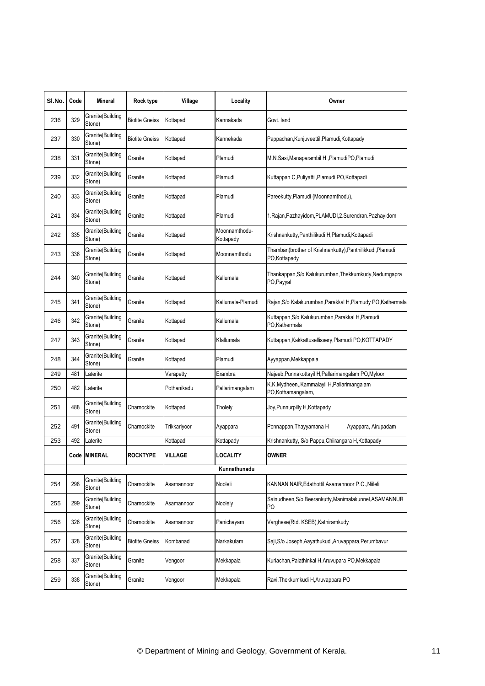| SI.No. | Code | Mineral                    | Rock type             | Village      | Locality                   | Owner                                                                    |
|--------|------|----------------------------|-----------------------|--------------|----------------------------|--------------------------------------------------------------------------|
| 236    | 329  | Granite(Building<br>Stone) | <b>Biotite Gneiss</b> | Kottapadi    | Kannakada                  | Govt. land                                                               |
| 237    | 330  | Granite(Building<br>Stone) | <b>Biotite Gneiss</b> | Kottapadi    | Kannekada                  | Pappachan, Kunjuveettil, Plamudi, Kottapady                              |
| 238    | 331  | Granite(Building<br>Stone) | Granite               | Kottapadi    | Plamudi                    | M.N.Sasi, Manaparambil H, PlamudiPO, Plamudi                             |
| 239    | 332  | Granite(Building<br>Stone) | Granite               | Kottapadi    | Plamudi                    | Kuttappan C, Puliyattil, Plamudi PO, Kottapadi                           |
| 240    | 333  | Granite(Building<br>Stone) | Granite               | Kottapadi    | Plamudi                    | Pareekutty, Plamudi (Moonnamthodu),                                      |
| 241    | 334  | Granite(Building<br>Stone) | Granite               | Kottapadi    | Plamudi                    | 1. Rajan, Pazhayidom, PLAMUDI, 2. Surendran. Pazhayidom                  |
| 242    | 335  | Granite(Building<br>Stone) | Granite               | Kottapadi    | Moonnamthodu-<br>Kottapady | Krishnankutty, Panthilikudi H, Plamudi, Kottapadi                        |
| 243    | 336  | Granite(Building<br>Stone) | Granite               | Kottapadi    | Moonnamthodu               | Thamban(brother of Krishnankutty),Panthilikkudi,Plamudi<br>PO, Kottapady |
| 244    | 340  | Granite(Building<br>Stone) | Granite               | Kottapadi    | Kallumala                  | Thankappan, S/o Kalukurumban, Thekkumkudy, Nedumgapra<br>PO, Payyal      |
| 245    | 341  | Granite(Building<br>Stone) | Granite               | Kottapadi    | Kallumala-Plamudi          | Rajan, S/o Kalakurumban, Parakkal H, Plamudy PO, Kathermala              |
| 246    | 342  | Granite(Building<br>Stone) | Granite               | Kottapadi    | Kallumala                  | Kuttappan, S/o Kalukurumban, Parakkal H, Plamudi<br>PO,Kathermala        |
| 247    | 343  | Granite(Building<br>Stone) | Granite               | Kottapadi    | Klallumala                 | Kuttappan, Kakkattusellissery, Plamudi PO, KOTTAPADY                     |
| 248    | 344  | Granite(Building<br>Stone) | Granite               | Kottapadi    | Plamudi                    | Ayyappan, Mekkappala                                                     |
| 249    | 481  | Laterite                   |                       | Varapetty    | Erambra                    | Najeeb, Punnakottayil H, Pallarimangalam PO, Myloor                      |
| 250    | 482  | Laterite                   |                       | Pothanikadu  | Pallarimangalam            | K.K.Mydheen,,Kammalayil H,Pallarimangalam<br>PO,Kothamangalam,           |
| 251    | 488  | Granite(Building<br>Stone) | Charnockite           | Kottapadi    | Tholely                    | Joy, Punnurpilly H, Kottapady                                            |
| 252    | 491  | Granite(Building<br>Stone) | Charnockite           | Trikkariyoor | Ayappara                   | Ponnappan, Thayyamana H<br>Ayappara, Airupadam                           |
| 253    | 492  | Laterite                   |                       | Kottapadi    | Kottapady                  | Krishnankutty, S/o Pappu, Chiirangara H, Kottapady                       |
|        |      | Code  MINERAL              | <b>ROCKTYPE</b>       | VILLAGE      | LOCALITY                   | <b>OWNER</b>                                                             |
|        |      |                            |                       |              | Kunnathunadu               |                                                                          |
| 254    | 298  | Granite(Building<br>Stone) | Charnockite           | Asamannoor   | Nooleli                    | KANNAN NAIR, Edathottil, Asamannoor P.O., Niileli                        |
| 255    | 299  | Granite(Building<br>Stone) | Charnockite           | Asamannoor   | Noolely                    | Sainudheen, S/o Beerankutty, Manimalakunnel, ASAMANNUR<br>P <sub>O</sub> |
| 256    | 326  | Granite(Building<br>Stone) | Charnockite           | Asamannoor   | Panichayam                 | Varghese(Rtd. KSEB), Kathiramkudy                                        |
| 257    | 328  | Granite(Building<br>Stone) | <b>Biotite Gneiss</b> | Kombanad     | Narkakulam                 | Saji, S/o Joseph, Aayathukudi, Aruvappara, Perumbavur                    |
| 258    | 337  | Granite(Building<br>Stone) | Granite               | Vengoor      | Mekkapala                  | Kuriachan, Palathinkal H, Aruvupara PO, Mekkapala                        |
| 259    | 338  | Granite(Building<br>Stone) | Granite               | Vengoor      | Mekkapala                  | Ravi, Thekkumkudi H, Aruvappara PO                                       |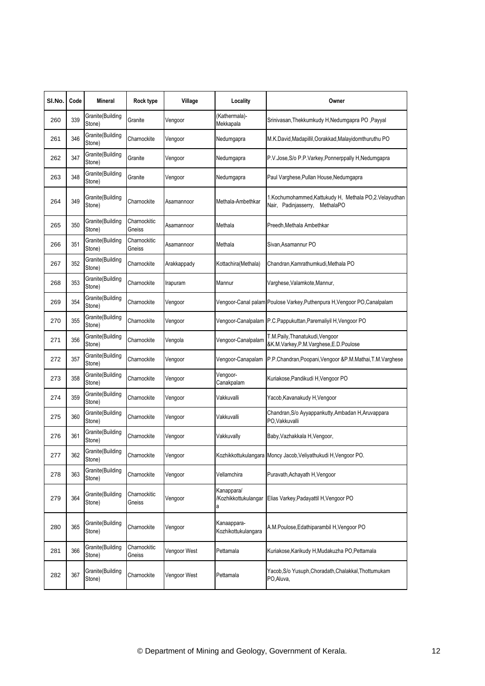| SI.No. | Code | Mineral                     | Rock type              | Village      | Locality                           | Owner                                                                                     |
|--------|------|-----------------------------|------------------------|--------------|------------------------------------|-------------------------------------------------------------------------------------------|
| 260    | 339  | Granite(Building<br>Stone)  | Granite                | Vengoor      | (Kathermala)-<br>Mekkapala         | Srinivasan, Thekkumkudy H, Nedumgapra PO, Payyal                                          |
| 261    | 346  | Granite(Building<br>Stone)  | Charnockite            | Vengoor      | Nedumgapra                         | M.K.David, Madapillil, Oorakkad, Malayidomthuruthu PO                                     |
| 262    | 347  | Granite(Building<br>Stone)  | Granite                | Vengoor      | Nedumgapra                         | P.V.Jose, S/o P.P.Varkey, Ponnerppally H, Nedumgapra                                      |
| 263    | 348  | Granite(Building<br>Stone)  | Granite                | Vengoor      | Nedumgapra                         | Paul Varghese, Pullan House, Nedumgapra                                                   |
| 264    | 349  | Granite(Building<br>Stone)  | Charnockite            | Asamannoor   | Methala-Ambethkar                  | 1.Kochumohammed,Kattukudy H, Methala PO,2.Velayudhan<br>Nair, Padinjasserry,<br>MethalaPO |
| 265    | 350  | Granite(Building<br>Stone)  | Charnockitic<br>Gneiss | Asamannoor   | Methala                            | Preedh, Methala Ambethkar                                                                 |
| 266    | 351  | Granite(Building<br>Stone)  | Charnockitic<br>Gneiss | Asamannoor   | Methala                            | Sivan,Asamannur PO                                                                        |
| 267    | 352  | Granite(Building<br>Stone)  | Charnockite            | Arakkappady  | Kottachira(Methala)                | Chandran, Kamrathumkudi, Methala PO                                                       |
| 268    | 353  | Granite(Building<br>Stone)  | Charnockite            | Irapuram     | Mannur                             | Varghese, Valamkote, Mannur,                                                              |
| 269    | 354  | Granite(Building<br>Stone)  | Charnockite            | Vengoor      |                                    | Vengoor-Canal palam Poulose Varkey, Puthenpura H, Vengoor PO, Canalpalam                  |
| 270    | 355  | Granite(Building<br>Stone)  | Charnockite            | Vengoor      |                                    | Vengoor-Canalpalam P.C.Pappukuttan,Paremaliyil H,Vengoor PO                               |
| 271    | 356  | Granite(Building<br>Stone)  | Charnockite            | Vengola      | Vengoor-Canalpalam                 | T.M.Paily, Thanatukudi, Vengoor<br>&K.M.Varkey,P.M.Varghese,E.D.Poulose                   |
| 272    | 357  | Granite(Building<br>Stone)  | Charnockite            | Vengoor      | Vengoor-Canapalam                  | P.P.Chandran, Poopani, Vengoor & P.M.Mathai, T.M.Varghese                                 |
| 273    | 358  | Granite(Building<br>Stone)  | Charnockite            | Vengoor      | Vengoor-<br>Canakpalam             | Kuriakose, Pandikudi H, Vengoor PO                                                        |
| 274    | 359  | Granite(Building<br>Stone)  | Charnockite            | Vengoor      | Vakkuvalli                         | Yacob, Kavanakudy H, Vengoor                                                              |
| 275    | 360  | Granite(Building<br>Stone)  | Charnockite            | Vengoor      | Vakkuvalli                         | Chandran, S/o Ayyappankutty, Ambadan H, Aruvappara<br>PO,Vakkuvalli                       |
| 276    | 361  | Granite(Building<br>Stone)  | Charnockite            | Vengoor      | Vakkuvally                         | Baby, Vazhakkala H, Vengoor,                                                              |
| 277    | 362  | Granite (Building<br>Stone) | Charnockite            | Vengoor      |                                    | Kozhikkottukulangara Moncy Jacob, Veliyathukudi H, Vengoor PO.                            |
| 278    | 363  | Granite(Building<br>Stone)  | Charnockite            | Vengoor      | Vellamchira                        | Puravath, Achayath H, Vengoor                                                             |
| 279    | 364  | Granite(Building<br>Stone)  | Charnockitic<br>Gneiss | Vengoor      | Kanappara/<br>а                    | /Kozhikkottukulangar Elias Varkey, Padayattil H, Vengoor PO                               |
| 280    | 365  | Granite(Building<br>Stone)  | Charnockite            | Vengoor      | Kanaappara-<br>Kozhikottukulangara | A.M.Poulose, Edathiparambil H, Vengoor PO                                                 |
| 281    | 366  | Granite(Building<br>Stone)  | Charnockitic<br>Gneiss | Vengoor West | Pettamala                          | Kuriakose, Karikudy H, Mudakuzha PO, Pettamala                                            |
| 282    | 367  | Granite(Building<br>Stone)  | Charnockite            | Vengoor West | Pettamala                          | Yacob, S/o Yusuph, Choradath, Chalakkal, Thottumukam<br>PO, Aluva,                        |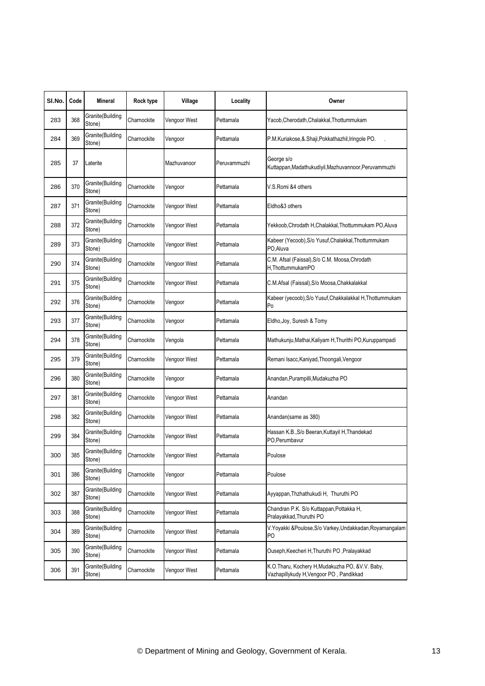| SI.No. | Code | Mineral                     | Rock type   | Village      | Locality     | Owner                                                                                     |
|--------|------|-----------------------------|-------------|--------------|--------------|-------------------------------------------------------------------------------------------|
| 283    | 368  | Granite(Building<br>Stone)  | Charnockite | Vengoor West | Pettamala    | Yacob, Cherodath, Chalakkal, Thottummukam                                                 |
| 284    | 369  | Granite(Building<br>Stone)  | Charnockite | Vengoor      | Pettamala    | P.M.Kuriakose, & Shaji, Pokkathazhil, Iringole PO.                                        |
| 285    | 37   | Laterite                    |             | Mazhuvanoor  | Peruvammuzhi | George s/o<br>Kuttappan, Madathukudiyil, Mazhuvannoor, Peruvammuzhi                       |
| 286    | 370  | Granite(Building<br>Stone)  | Charnockite | Vengoor      | Pettamala    | V.S.Romi &4 others                                                                        |
| 287    | 371  | Granite(Building<br>Stone)  | Charnockite | Vengoor West | Pettamala    | Eldho&3 others                                                                            |
| 288    | 372  | Granite(Building<br>Stone)  | Charnockite | Vengoor West | Pettamala    | Yekkoob, Chrodath H, Chalakkal, Thottummukam PO, Aluva                                    |
| 289    | 373  | Granite(Building<br>Stone)  | Charnockite | Vengoor West | Pettamala    | Kabeer (Yecoob), S/o Yusuf, Chalakkal, Thottummukam<br>PO, Aluva                          |
| 290    | 374  | Granite(Building<br>Stone)  | Charnockite | Vengoor West | Pettamala    | C.M. Afsal (Faissal), S/o C.M. Moosa, Chrodath<br>H.ThottummukamPO                        |
| 291    | 375  | Granite(Building<br>Stone)  | Charnockite | Vengoor West | Pettamala    | C.M.Afsal (Faissal), S/o Moosa, Chakkalakkal                                              |
| 292    | 376  | Granite(Building<br>Stone)  | Charnockite | Vengoor      | Pettamala    | Kabeer (yecoob), S/o Yusuf, Chakkalakkal H, Thottummukam<br>Po                            |
| 293    | 377  | Granite(Building<br>Stone)  | Charnockite | Vengoor      | Pettamala    | Eldho, Joy, Suresh & Tomy                                                                 |
| 294    | 378  | Granite(Building<br>Stone)  | Charnockite | Vengola      | Pettamala    | Mathukunju, Mathai, Kaliyam H, Thurithi PO, Kuruppampadi                                  |
| 295    | 379  | Granite(Building<br>Stone)  | Charnockite | Vengoor West | Pettamala    | Remani Isacc, Kaniyad, Thoongali, Vengoor                                                 |
| 296    | 380  | Granite(Building<br>Stone)  | Charnockite | Vengoor      | Pettamala    | Anandan, Purampilli, Mudakuzha PO                                                         |
| 297    | 381  | Granite(Building<br>Stone)  | Charnockite | Vengoor West | Pettamala    | Anandan                                                                                   |
| 298    | 382  | Granite(Building<br>Stone)  | Charnockite | Vengoor West | Pettamala    | Anandan(same as 380)                                                                      |
| 299    | 384  | Granite(Building<br>Stone)  | Charnockite | Vengoor West | Pettamala    | Hassan K.B., S/o Beeran, Kuttayil H, Thandekad<br>PO, Perumbavur                          |
| 300    | 385  | Granite (Building<br>Stone) | Charnockite | Vengoor West | Pettamala    | Poulose                                                                                   |
| 301    | 386  | Granite(Building<br>Stone)  | Charnockite | Vengoor      | Pettamala    | Poulose                                                                                   |
| 302    | 387  | Granite(Building<br>Stone)  | Charnockite | Vengoor West | Pettamala    | Ayyappan, Thzhathukudi H, Thuruthi PO                                                     |
| 303    | 388  | Granite(Building<br>Stone)  | Charnockite | Vengoor West | Pettamala    | Chandran P.K. S/o Kuttappan, Pottakka H,<br>Pralayakkad, Thuruthi PO                      |
| 304    | 389  | Granite(Building<br>Stone)  | Charnockite | Vengoor West | Pettamala    | V. Yoyakki & Poulose, S/o Varkey, Undakkadan, Royamangalam<br>P <sub>O</sub>              |
| 305    | 390  | Granite(Building<br>Stone)  | Charnockite | Vengoor West | Pettamala    | Ouseph, Keecheri H, Thuruthi PO, Pralayakkad                                              |
| 306    | 391  | Granite(Building<br>Stone)  | Charnockite | Vengoor West | Pettamala    | K.O.Tharu, Kochery H,Mudakuzha PO, &V.V. Baby,<br>Vazhapillykudy H, Vengoor PO, Pandikkad |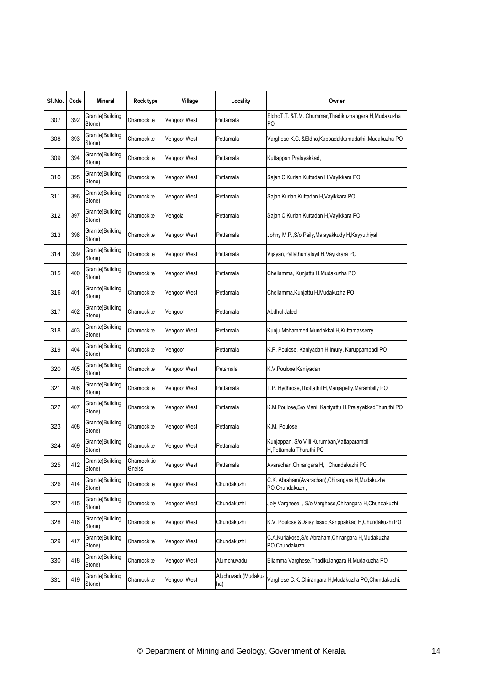| SI.No. | Code | <b>Mineral</b>             | Rock type              | Village      | Locality                  | Owner                                                                     |
|--------|------|----------------------------|------------------------|--------------|---------------------------|---------------------------------------------------------------------------|
| 307    | 392  | Granite(Building<br>Stone) | Charnockite            | Vengoor West | Pettamala                 | EldhoT.T. &T.M. Chummar, Thadikuzhangara H, Mudakuzha<br>P <sub>O</sub>   |
| 308    | 393  | Granite(Building<br>Stone) | Charnockite            | Vengoor West | Pettamala                 | Varghese K.C. & Eldho, Kappadakkamadathil, Mudakuzha PO                   |
| 309    | 394  | Granite(Building<br>Stone) | Charnockite            | Vengoor West | Pettamala                 | Kuttappan, Pralayakkad,                                                   |
| 310    | 395  | Granite(Building<br>Stone) | Charnockite            | Vengoor West | Pettamala                 | Sajan C Kurian, Kuttadan H, Vayikkara PO                                  |
| 311    | 396  | Granite(Building<br>Stone) | Charnockite            | Vengoor West | Pettamala                 | Sajan Kurian, Kuttadan H, Vayikkara PO                                    |
| 312    | 397  | Granite(Building<br>Stone) | Charnockite            | Vengola      | Pettamala                 | Sajan C Kurian, Kuttadan H, Vayikkara PO                                  |
| 313    | 398  | Granite(Building<br>Stone) | Charnockite            | Vengoor West | Pettamala                 | Johny M.P., S/o Paily, Malayakkudy H, Kayyuthiyal                         |
| 314    | 399  | Granite(Building<br>Stone) | Charnockite            | Vengoor West | Pettamala                 | Vijayan, Pallathumalayil H, Vayikkara PO                                  |
| 315    | 400  | Granite(Building<br>Stone) | Charnockite            | Vengoor West | Pettamala                 | Chellamma, Kunjattu H, Mudakuzha PO                                       |
| 316    | 401  | Granite(Building<br>Stone) | Charnockite            | Vengoor West | Pettamala                 | Chellamma, Kunjattu H, Mudakuzha PO                                       |
| 317    | 402  | Granite(Building<br>Stone) | Charnockite            | Vengoor      | Pettamala                 | Abdhul Jaleel                                                             |
| 318    | 403  | Granite(Building<br>Stone) | Charnockite            | Vengoor West | Pettamala                 | Kunju Mohammed, Mundakkal H, Kuttamasserry,                               |
| 319    | 404  | Granite(Building<br>Stone) | Charnockite            | Vengoor      | Pettamala                 | K.P. Poulose, Kaniyadan H, Imury, Kuruppampadi PO                         |
| 320    | 405  | Granite(Building<br>Stone) | Charnockite            | Vengoor West | Petamala                  | K.V.Poulose, Kaniyadan                                                    |
| 321    | 406  | Granite(Building<br>Stone) | Charnockite            | Vengoor West | Pettamala                 | T.P. Hydhrose, Thottathil H, Manjapetty, Marambilly PO                    |
| 322    | 407  | Granite(Building<br>Stone) | Charnockite            | Vengoor West | Pettamala                 | K.M.Poulose, S/o Mani, Kaniyattu H, Pralayakkad Thuruthi PO               |
| 323    | 408  | Granite(Building<br>Stone) | Charnockite            | Vengoor West | Pettamala                 | K.M. Poulose                                                              |
| 324    | 409  | Granite(Building<br>Stone) | Charnockite            | Vengoor West | Pettamala                 | Kunjappan, S/o Villi Kurumban, Vattaparambil<br>H, Pettamala, Thuruthi PO |
| 325    | 412  | Granite(Building<br>Stone) | Charnockitic<br>Gneiss | Vengoor West | Pettamala                 | Avarachan, Chirangara H, Chundakuzhi PO                                   |
| 326    | 414  | Granite(Building<br>Stone) | Charnockite            | Vengoor West | Chundakuzhi               | C.K. Abraham(Avarachan), Chirangara H, Mudakuzha<br>PO, Chundakuzhi,      |
| 327    | 415  | Granite(Building<br>Stone) | Charnockite            | Vengoor West | Chundakuzhi               | Joly Varghese, S/o Varghese, Chirangara H, Chundakuzhi                    |
| 328    | 416  | Granite(Building<br>Stone) | Charnockite            | Vengoor West | Chundakuzhi               | K.V. Poulose &Daisy Issac, Karippakkad H, Chundakuzhi PO                  |
| 329    | 417  | Granite(Building<br>Stone) | Charnockite            | Vengoor West | Chundakuzhi               | C.A.Kuriakose, S/o Abraham, Chirangara H, Mudakuzha<br>PO, Chundakuzhi    |
| 330    | 418  | Granite(Building<br>Stone) | Charnockite            | Vengoor West | Alumchuvadu               | Eliamma Varghese, Thadikulangara H, Mudakuzha PO                          |
| 331    | 419  | Granite(Building<br>Stone) | Charnockite            | Vengoor West | Aluchuvadu(Mudakuz<br>ha) | Varghese C.K., Chirangara H, Mudakuzha PO, Chundakuzhi.                   |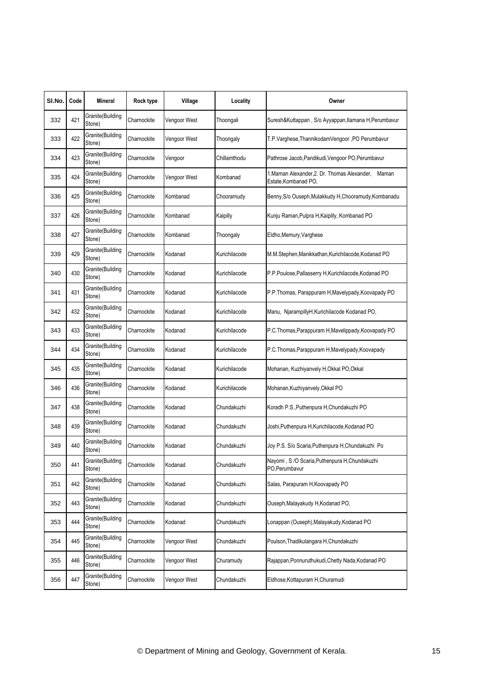| SI.No. | Code | <b>Mineral</b>             | Rock type   | Village      | Locality      | Owner                                                                      |
|--------|------|----------------------------|-------------|--------------|---------------|----------------------------------------------------------------------------|
| 332    | 421  | Granite(Building<br>Stone) | Charnockite | Vengoor West | Thoongali     | Suresh&Kuttappan, S/o Ayyappan, llamana H, Perumbavur                      |
| 333    | 422  | Granite(Building<br>Stone) | Charnockite | Vengoor West | Thoongaly     | T.P.Varghese, ThannikodamVengoor, PO Perumbavur                            |
| 334    | 423  | Granite(Building<br>Stone) | Charnockite | Vengoor      | Chillamthodu  | Pathrose Jacob, Pandikudi, Vengoor PO, Perumbavur                          |
| 335    | 424  | Granite(Building<br>Stone) | Charnockite | Vengoor West | Kombanad      | 1. Maman Alexander, 2. Dr. Thomas Alexander, Maman<br>Estate, Kombanad PO, |
| 336    | 425  | Granite(Building<br>Stone) | Charnockite | Kombanad     | Chooramudy    | Benny, S/o Ouseph, Mulakkudy H, Chooramudy, Kombanadu                      |
| 337    | 426  | Granite(Building<br>Stone) | Charnockite | Kombanad     | Kaipilly      | Kunju Raman, Pulpra H, Kaipilly, Kombanad PO                               |
| 338    | 427  | Granite(Building<br>Stone) | Charnockite | Kombanad     | Thoongaly     | Eldho, Memury, Varghese                                                    |
| 339    | 429  | Granite(Building<br>Stone) | Charnockite | Kodanad      | Kurichilacode | M.M.Stephen,Manikkathan,Kurichilacode,Kodanad PO                           |
| 340    | 430  | Granite(Building<br>Stone) | Charnockite | Kodanad      | Kurichilacode | P.P.Poulose, Pallasserry H, Kurichilacode, Kodanad PO                      |
| 341    | 431  | Granite(Building<br>Stone) | Charnockite | Kodanad      | Kurichilacode | P.P.Thomas, Parappuram H, Mavelypady, Koovapady PO                         |
| 342    | 432  | Granite(Building<br>Stone) | Charnockite | Kodanad      | Kurichilacode | Manu, NjarampillyH, Kurichilacode Kodanad PO,                              |
| 343    | 433  | Granite(Building<br>Stone) | Charnockite | Kodanad      | Kurichilacode | P.C. Thomas, Parappuram H, Mavelippady, Koovapady PO                       |
| 344    | 434  | Granite(Building<br>Stone) | Charnockite | Kodanad      | Kurichilacode | P.C.Thomas,Parappuram H,Mavelypady,Koovapady                               |
| 345    | 435  | Granite(Building<br>Stone) | Charnockite | Kodanad      | Kurichilacode | Mohanan, Kuzhiyanvely H, Okkal PO, Okkal                                   |
| 346    | 436  | Granite(Building<br>Stone) | Charnockite | Kodanad      | Kurichilacode | Mohanan, Kuzhiyanvely, Okkal PO                                            |
| 347    | 438  | Granite(Building<br>Stone) | Charnockite | Kodanad      | Chundakuzhi   | Koradh P.S., Puthenpura H, Chundakuzhi PO                                  |
| 348    | 439  | Granite(Building<br>Stone) | Charnockite | Kodanad      | Chundakuzhi   | Joshi, Puthenpura H, Kurichilacode, Kodanad PO                             |
| 349    | 440  | Granite(Building<br>Stone) | Charnockite | Kodanad      | Chundakuzhi   | Joy P.S. S/o Scaria, Puthenpura H, Chundakuzhi Po                          |
| 350    | 441  | Granite(Building<br>Stone) | Charnockite | Kodanad      | Chundakuzhi   | Nayomi, S /O Scaria, Puthenpura H, Chundakuzhi<br>PO.Perumbavur            |
| 351    | 442  | Granite(Building<br>Stone) | Charnockite | Kodanad      | Chundakuzhi   | Salas, Parapuram H, Koovapady PO                                           |
| 352    | 443  | Granite(Building<br>Stone) | Charnockite | Kodanad      | Chundakuzhi   | Ouseph, Malayakudy H, Kodanad PO,                                          |
| 353    | 444  | Granite(Building<br>Stone) | Charnockite | Kodanad      | Chundakuzhi   | Lonappan (Ouseph), Malayakudy, Kodanad PO                                  |
| 354    | 445  | Granite(Building<br>Stone) | Charnockite | Vengoor West | Chundakuzhi   | Poulson, Thadikulangara H, Chundakuzhi                                     |
| 355    | 446  | Granite(Building<br>Stone) | Charnockite | Vengoor West | Churamudy     | Rajappan, Ponnuruthukudi, Chetty Nada, Kodanad PO                          |
| 356    | 447  | Granite(Building<br>Stone) | Charnockite | Vengoor West | Chundakuzhi   | Eldhose, Kottapuram H, Churamudi                                           |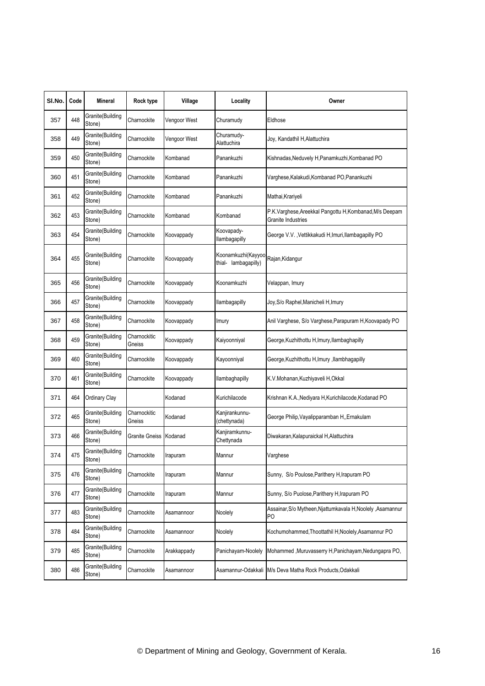| SI.No. | Code | <b>Mineral</b>              | Rock type              | Village      | Locality                                   | Owner                                                                         |
|--------|------|-----------------------------|------------------------|--------------|--------------------------------------------|-------------------------------------------------------------------------------|
| 357    | 448  | Granite(Building<br>Stone)  | Charnockite            | Vengoor West | Churamudy                                  | Eldhose                                                                       |
| 358    | 449  | Granite(Building<br>Stone)  | Charnockite            | Vengoor West | Churamudy-<br>Alattuchira                  | Joy, Kandathil H, Alattuchira                                                 |
| 359    | 450  | Granite(Building<br>Stone)  | Charnockite            | Kombanad     | Panankuzhi                                 | Kishnadas, Neduvely H, Panamkuzhi, Kombanad PO                                |
| 360    | 451  | Granite(Building<br>Stone)  | Charnockite            | Kombanad     | Panankuzhi                                 | Varghese, Kalakudi, Kombanad PO, Panankuzhi                                   |
| 361    | 452  | Granite(Building<br>Stone)  | Charnockite            | Kombanad     | Panankuzhi                                 | Mathai, Krariyeli                                                             |
| 362    | 453  | Granite(Building<br>Stone)  | Charnockite            | Kombanad     | Kombanad                                   | P.K.Varghese, Areekkal Pangottu H, Kombanad, M/s Deepam<br>Granite Industries |
| 363    | 454  | Granite(Building<br>Stone)  | Charnockite            | Koovappady   | Koovapady-<br>llambagapilly                | George V.V., Vettikkakudi H, Imuri, Ilambagapilly PO                          |
| 364    | 455  | Granite(Building<br>Stone)  | Charnockite            | Koovappady   | Koonamkuzhi(Kayyoo<br>thial- lambagapilly) | Rajan,Kidangur                                                                |
| 365    | 456  | Granite(Building<br>Stone)  | Charnockite            | Koovappady   | Koonamkuzhi                                | Velappan, Imury                                                               |
| 366    | 457  | Granite(Building<br>Stone)  | Charnockite            | Koovappady   | llambagapilly                              | Joy, S/o Raphel, Manicheli H, Imury                                           |
| 367    | 458  | Granite(Building<br>Stone)  | Charnockite            | Koovappady   | Imury                                      | Anil Varghese, S/o Varghese, Parapuram H, Koovapady PO                        |
| 368    | 459  | Granite(Building<br>Stone)  | Charnockitic<br>Gneiss | Koovappady   | Kaiyoonniyal                               | George, Kuzhithottu H, Imury, Ilambaghapilly                                  |
| 369    | 460  | Granite(Building<br>Stone)  | Charnockite            | Koovappady   | Kayoonniyal                                | George, Kuzhithottu H, Imury, Ilambhagapilly                                  |
| 370    | 461  | Granite(Building<br>Stone)  | Charnockite            | Koovappady   | llambaghapilly                             | K.V.Mohanan, Kuzhiyaveli H, Okkal                                             |
| 371    | 464  | Ordinary Clay               |                        | Kodanad      | Kurichilacode                              | Krishnan K.A., Nediyara H, Kurichilacode, Kodanad PO                          |
| 372    | 465  | Granite(Building<br>Stone)  | Charnockitic<br>Gneiss | Kodanad      | Kanjirankunnu-<br>(chettynada)             | George Philip, Vayalipparamban H,, Ernakulam                                  |
| 373    | 466  | Granite(Building<br>Stone)  | Granite Gneiss Kodanad |              | Kanjiramkunnu-<br>Chettynada               | Diwakaran, Kalapuraickal H, Alattuchira                                       |
| 374    | 475  | Granite (Building<br>Stone) | Charnockite            | ırapuram     | Mannur                                     | Varghese                                                                      |
| 375    | 476  | Granite(Building<br>Stone)  | Charnockite            | Irapuram     | Mannur                                     | Sunny, S/o Poulose, Parithery H, Irapuram PO                                  |
| 376    | 477  | Granite(Building<br>Stone)  | Charnockite            | Irapuram     | Mannur                                     | Sunny, S/o Puolose, Parithery H, Irapuram PO                                  |
| 377    | 483  | Granite(Building<br>Stone)  | Charnockite            | Asamannoor   | Noolely                                    | Assainar, S/o Mytheen, Njattumkavala H, Noolely, Asamannur<br>P <sub>O</sub>  |
| 378    | 484  | Granite(Building<br>Stone)  | Charnockite            | Asamannoor   | Noolely                                    | Kochumohammed, Thoottathil H, Noolely, Asamannur PO                           |
| 379    | 485  | Granite(Building<br>Stone)  | Charnockite            | Arakkappady  | Panichayam-Noolely                         | Mohammed , Muruvasserry H, Panichayam, Nedungapra PO,                         |
| 380    | 486  | Granite(Building<br>Stone)  | Charnockite            | Asamannoor   | Asamannur-Odakkali                         | M/s Deva Matha Rock Products, Odakkali                                        |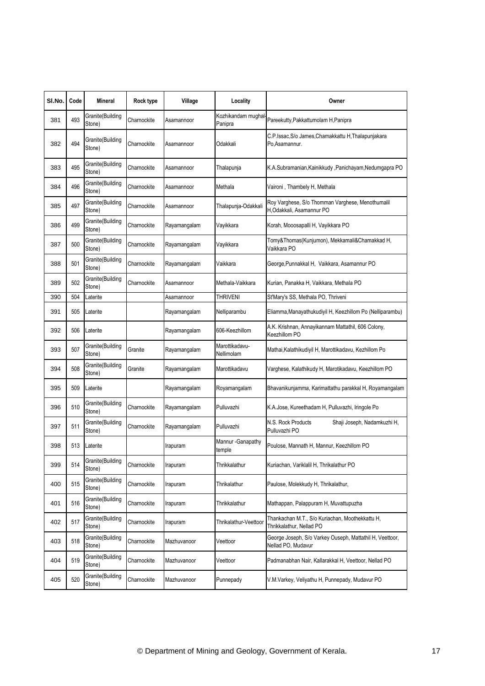| SI.No. | Code | <b>Mineral</b>             | Rock type   | Village      | Locality                      | Owner                                                                          |
|--------|------|----------------------------|-------------|--------------|-------------------------------|--------------------------------------------------------------------------------|
| 381    | 493  | Granite(Building<br>Stone) | Charnockite | Asamannoor   | Kozhikandam mughal<br>Panipra | Pareekutty, Pakkattumolam H, Panipra                                           |
| 382    | 494  | Granite(Building<br>Stone) | Charnockite | Asamannoor   | Odakkali                      | C.P.Issac, S/o James, Chamakkattu H, Thalapunjakara<br>Po, Asamannur.          |
| 383    | 495  | Granite(Building<br>Stone) | Charnockite | Asamannoor   | Thalapunja                    | K.A.Subramanian, Kainikkudy, Panichayam, Nedumgapra PO                         |
| 384    | 496  | Granite(Building<br>Stone) | Charnockite | Asamannoor   | Methala                       | Vaironi, Thambely H, Methala                                                   |
| 385    | 497  | Granite(Building<br>Stone) | Charnockite | Asamannoor   | Thalapunja-Odakkali           | Roy Varghese, S/o Thomman Varghese, Menothumalil<br>H,Odakkali, Asamannur PO   |
| 386    | 499  | Granite(Building<br>Stone) | Charnockite | Rayamangalam | Vayikkara                     | Korah, Mooosapalli H, Vayikkara PO                                             |
| 387    | 500  | Granite(Building<br>Stone) | Charnockite | Rayamangalam | Vayikkara                     | Tomy&Thomas(Kunjumon), Mekkamali&Chamakkad H,<br>Vaikkara PO                   |
| 388    | 501  | Granite(Building<br>Stone) | Charnockite | Rayamangalam | Vaikkara                      | George, Punnakkal H, Vaikkara, Asamannur PO                                    |
| 389    | 502  | Granite(Building<br>Stone) | Charnockite | Asamannoor   | Methala-Vaikkara              | Kurian, Panakka H, Vaikkara, Methala PO                                        |
| 390    | 504  | Laterite                   |             | Asamannoor   | <b>THRIVENI</b>               | St'Mary's SS, Methala PO, Thriveni                                             |
| 391    | 505  | Laterite                   |             | Rayamangalam | Nelliparambu                  | Eliamma, Manayathukudiyil H, Keezhillom Po (Nelliparambu)                      |
| 392    | 506  | Laterite                   |             | Rayamangalam | 606-Keezhillom                | A.K. Krishnan, Annayikannam Mattathil, 606 Colony,<br>Keezhillom PO            |
| 393    | 507  | Granite(Building<br>Stone) | Granite     | Rayamangalam | Marottikadavu-<br>Nellimolam  | Mathai, Kalathikudiyil H, Marottikadavu, Kezhillom Po                          |
| 394    | 508  | Granite(Building<br>Stone) | Granite     | Rayamangalam | Marottikadavu                 | Varghese, Kalathikudy H, Marotikadavu, Keezhillom PO                           |
| 395    | 509  | Laterite                   |             | Rayamangalam | Royamangalam                  | Bhavanikunjamma, Karimattathu parakkal H, Royamangalam                         |
| 396    | 510  | Granite(Building<br>Stone) | Charnockite | Rayamangalam | Pulluvazhi                    | K.A.Jose, Kureethadam H, Pulluvazhi, Iringole Po                               |
| 397    | 511  | Granite(Building<br>Stone) | Charnockite | Rayamangalam | Pulluvazhi                    | N.S. Rock Products<br>Shaji Joseph, Nadamkuzhi H,<br>Pulluvazhi PO             |
| 398    | 513  | Laterite                   |             | Irapuram     | Mannur - Ganapathy<br>temple  | Poulose, Mannath H, Mannur, Keezhillom PO                                      |
| 399    | 514  | Granite(Building<br>Stone) | Charnockite | Irapuram     | Thrikkalathur                 | Kuriachan, Variklalil H, Thrikalathur PO                                       |
| 400    | 515  | Granite(Building<br>Stone) | Charnockite | Irapuram     | Thrikalathur                  | Paulose, Molekkudy H, Thrikalathur,                                            |
| 401    | 516  | Granite(Building<br>Stone) | Charnockite | Irapuram     | Thrikkalathur                 | Mathappan, Palappuram H, Muvattupuzha                                          |
| 402    | 517  | Granite(Building<br>Stone) | Charnockite | Irapuram     | Thrikalathur-Veettoor         | Thankachan M.T., S/o Kuriachan, Moothekkattu H,<br>Thrikkalathur, Nellad PO    |
| 403    | 518  | Granite(Building<br>Stone) | Charnockite | Mazhuvanoor  | Veettoor                      | George Joseph, S/o Varkey Ouseph, Mattathil H, Veettoor,<br>Nellad PO. Mudavur |
| 404    | 519  | Granite(Building<br>Stone) | Charnockite | Mazhuvanoor  | Veettoor                      | Padmanabhan Nair, Kallarakkal H, Veettoor, Nellad PO                           |
| 405    | 520  | Granite(Building<br>Stone) | Charnockite | Mazhuvanoor  | Punnepady                     | V.M.Varkey, Veliyathu H, Punnepady, Mudavur PO                                 |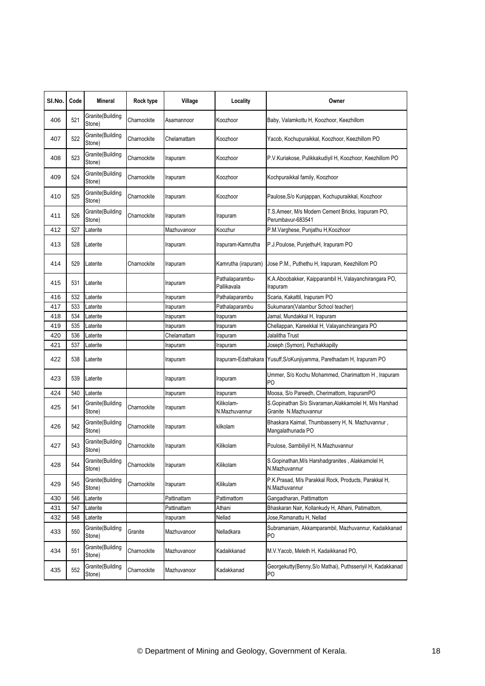| SI.No. | Code | Mineral                    | Rock type   | Village     | Locality                       | Owner                                                                            |
|--------|------|----------------------------|-------------|-------------|--------------------------------|----------------------------------------------------------------------------------|
| 406    | 521  | Granite(Building<br>Stone) | Charnockite | Asamannoor  | Koozhoor                       | Baby, Valamkottu H, Koozhoor, Keezhillom                                         |
| 407    | 522  | Granite(Building<br>Stone) | Charnockite | Chelamattam | Koozhoor                       | Yacob, Kochupuraikkal, Koozhoor, Keezhillom PO                                   |
| 408    | 523  | Granite(Building<br>Stone) | Charnockite | Irapuram    | Koozhoor                       | P.V.Kuriakose, Pulikkakudiyil H, Koozhoor, Keezhillom PO                         |
| 409    | 524  | Granite(Building<br>Stone) | Charnockite | Irapuram    | Koozhoor                       | Kochpuraikkal family, Koozhoor                                                   |
| 410    | 525  | Granite(Building<br>Stone) | Charnockite | Irapuram    | Koozhoor                       | Paulose, S/o Kunjappan, Kochupuraikkal, Koozhoor                                 |
| 411    | 526  | Granite(Building<br>Stone) | Charnockite | Irapuram    | Irapuram                       | T.S.Ameer, M/s Modern Cement Bricks, Irapuram PO,<br>Perumbavur-683541           |
| 412    | 527  | Laterite                   |             | Mazhuvanoor | Koozhur                        | P.M.Varghese, Punjathu H,Koozhoor                                                |
| 413    | 528  | Laterite                   |             | Irapuram    | Irapuram-Kamrutha              | P.J.Poulose, PunjethuH, Irapuram PO                                              |
| 414    | 529  | Laterite                   | Charnockite | Irapuram    | Kamrutha (irapuram)            | Jose P.M., Puthethu H, Irapuram, Keezhillom PO                                   |
| 415    | 531  | Laterite                   |             | Irapuram    | Pathalaparambu-<br>Pallikavala | K.A.Aboobakker, Kaipparambil H, Valayanchirangara PO,<br>Irapuram                |
| 416    | 532  | Laterite                   |             | Irapuram    | Pathalaparambu                 | Scaria, Kakattil, Irapuram PO                                                    |
| 417    | 533  | Laterite                   |             | Irapuram    | Pathalaparambu                 | Sukumaran(Valambur School teacher)                                               |
| 418    | 534  | Laterite                   |             | Irapuram    | Irapuram                       | Jamal, Mundakkal H, Irapuram                                                     |
| 419    | 535  | Laterite                   |             | Irapuram    | Irapuram                       | Chellappan, Kareekkal H, Valayanchirangara PO                                    |
| 420    | 536  | Laterite                   |             | Chelamattam | Irapuram                       | Jalalitha Trust                                                                  |
| 421    | 537  | Laterite                   |             | Irapuram    | Irapuram                       | Joseph (Symon), Pezhakkapilly                                                    |
| 422    | 538  | Laterite                   |             | Irapuram    |                                | Irapuram-Edathakara Yusuff, S/oKunjiyamma, Parethadam H, Irapuram PO             |
| 423    | 539  | Laterite                   |             | Irapuram    | Irapuram                       | Ummer, S/o Kochu Mohammed, Charimattom H, Irapuram<br>PO                         |
| 424    | 540  | Laterite                   |             | Irapuram    | Irapuram                       | Moosa, S/o Pareedh, Cherimattom, IrapuramPO                                      |
| 425    | 541  | Granite(Building<br>Stone) | Charnockite | Irapuram    | Kilikolam-<br>N.Mazhuvannur    | S. Gopinathan S/o Sivaraman, Alakkamolel H, M/s Harshad<br>Granite N.Mazhuvannur |
| 426    | 542  | Granite(Building<br>Stone) | Charnockite | Irapuram    | kilkolam                       | Bhaskara Kaimal, Thumbasserry H, N. Mazhuvannur,<br>Mangalathunada PO            |
| 427    | 543  | Granite(Building<br>Stone) | Charnockite | Irapuram    | Kilikolam                      | Poulose, Sambiliyil H, N.Mazhuvannur                                             |
| 428    | 544  | Granite(Building<br>Stone) | Charnockite | Irapuram    | Kilikolam                      | S.Gopinathan, M/s Harshadgranites, Alakkamolel H,<br>N.Mazhuvannur               |
| 429    | 545  | Granite(Building<br>Stone) | Charnockite | Irapuram    | Kilikulam                      | P.K.Prasad, M/s Parakkal Rock, Products, Parakkal H,<br>N.Mazhuvannur            |
| 430    | 546  | Laterite                   |             | Pattinattam | Pattimattom                    | Gangadharan, Pattimattom                                                         |
| 431    | 547  | Laterite                   |             | Pattinattam | Athani                         | Bhaskaran Nair, Kollankudy H, Athani, Patimattom,                                |
| 432    | 548  | Laterite                   |             | Irapuram    | Nellad                         | Jose, Ramanattu H, Nellad                                                        |
| 433    | 550  | Granite(Building<br>Stone) | Granite     | Mazhuvanoor | Nelladkara                     | Subramaniam, Akkamparambil, Mazhuvannur, Kadaikkanad<br>P <sub>O</sub>           |
| 434    | 551  | Granite(Building<br>Stone) | Charnockite | Mazhuvanoor | Kadaikkanad                    | M.V.Yacob, Meleth H, Kadaikkanad PO,                                             |
| 435    | 552  | Granite(Building<br>Stone) | Charnockite | Mazhuvanoor | Kadakkanad                     | Georgekutty(Benny,S/o Mathai), Puthsseriyil H, Kadakkanad<br>P <sub>O</sub>      |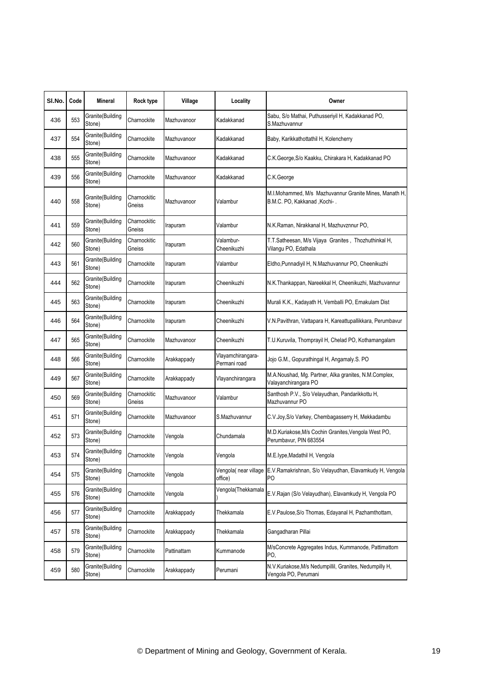| SI.No. | Code | Mineral                     | Rock type              | Village     | Locality                          | Owner                                                                                      |
|--------|------|-----------------------------|------------------------|-------------|-----------------------------------|--------------------------------------------------------------------------------------------|
| 436    | 553  | Granite(Building<br>Stone)  | Charnockite            | Mazhuvanoor | Kadakkanad                        | Sabu, S/o Mathai, Puthusseriyil H, Kadakkanad PO,<br>S.Mazhuvannur                         |
| 437    | 554  | Granite(Building<br>Stone)  | Charnockite            | Mazhuvanoor | Kadakkanad                        | Baby, Karikkathottathil H, Kolencherry                                                     |
| 438    | 555  | Granite(Building<br>Stone)  | Charnockite            | Mazhuvanoor | Kadakkanad                        | C.K.George, S/o Kaakku, Chirakara H, Kadakkanad PO                                         |
| 439    | 556  | Granite(Building<br>Stone)  | Charnockite            | Mazhuvanoor | Kadakkanad                        | C.K.George                                                                                 |
| 440    | 558  | Granite(Building<br>Stone)  | Charnockitic<br>Gneiss | Mazhuvanoor | Valambur                          | M.I.Mohammed, M/s Mazhuvannur Granite Mines, Manath H,<br>B.M.C. PO, Kakkanad ,Kochi-.     |
| 441    | 559  | Granite(Building<br>Stone)  | Charnockitic<br>Gneiss | Irapuram    | Valambur                          | N.K.Raman, Nirakkanal H, Mazhuvznnur PO,                                                   |
| 442    | 560  | Granite(Building<br>Stone)  | Charnockitic<br>Gneiss | Irapuram    | Valambur-<br>Cheenikuzhi          | T.T.Satheesan, M/s Vijaya Granites, Thozhuthinkal H,<br>Vilangu PO, Edathala               |
| 443    | 561  | Granite(Building<br>Stone)  | Charnockite            | Irapuram    | Valambur                          | Eldho, Punnadiyil H, N.Mazhuvannur PO, Cheenikuzhi                                         |
| 444    | 562  | Granite(Building<br>Stone)  | Charnockite            | Irapuram    | Cheenikuzhi                       | N.K.Thankappan, Nareekkal H, Cheenikuzhi, Mazhuvannur                                      |
| 445    | 563  | Granite(Building<br>Stone)  | Charnockite            | Irapuram    | Cheenikuzhi                       | Murali K.K., Kadayath H, Vemballi PO, Ernakulam Dist                                       |
| 446    | 564  | Granite(Building<br>Stone)  | Charnockite            | Irapuram    | Cheenikuzhi                       | V.N.Pavithran, Vattapara H, Kareattupallikkara, Perumbavur                                 |
| 447    | 565  | Granite(Building<br>Stone)  | Charnockite            | Mazhuvanoor | Cheenikuzhi                       | T.U.Kuruvila, Thomprayil H, Chelad PO, Kothamangalam                                       |
| 448    | 566  | Granite(Building<br>Stone)  | Charnockite            | Arakkappady | Vlayamchirangara-<br>Permani road | Jojo G.M., Gopurathingal H, Angamaly.S. PO                                                 |
| 449    | 567  | Granite(Building<br>Stone)  | Charnockite            | Arakkappady | Vlayanchirangara                  | M.A.Noushad, Mg. Partner, Alka granites, N.M.Complex,<br>Valayanchirangara PO              |
| 450    | 569  | Granite(Building<br>Stone)  | Charnockitic<br>Gneiss | Mazhuvanoor | Valambur                          | Santhosh P.V., S/o Velayudhan, Pandarikkottu H,<br>Mazhuvannur PO                          |
| 451    | 571  | Granite(Building<br>Stone)  | Charnockite            | Mazhuvanoor | S.Mazhuvannur                     | C.V.Joy, S/o Varkey, Chembagasserry H, Mekkadambu                                          |
| 452    | 573  | Granite(Building<br>Stone)  | Charnockite            | Vengola     | Chundamala                        | M.D.Kuriakose, M/s Cochin Granites, Vengola West PO,<br>Perumbavur, PIN 683554             |
| 453    | 5/4  | Granite (Building<br>Stone) | Charnockite            | Vengola     | Vengola                           | M.E.lype, Madathil H, Vengola                                                              |
| 454    | 575  | Granite(Building<br>Stone)  | Charnockite            | Vengola     | office)                           | Vengola( near village E.V.Ramakrishnan, S/o Velayudhan, Elavamkudy H, Vengola<br><b>PO</b> |
| 455    | 576  | Granite(Building<br>Stone)  | Charnockite            | Vengola     | Vengola(Thekkamala                | E.V.Rajan (S/o Velayudhan), Elavamkudy H, Vengola PO                                       |
| 456    | 577  | Granite(Building<br>Stone)  | Charnockite            | Arakkappady | Thekkamala                        | E.V.Paulose, S/o Thomas, Edayanal H, Pazhamthottam,                                        |
| 457    | 578  | Granite(Building<br>Stone)  | Charnockite            | Arakkappady | Thekkamala                        | Gangadharan Pillai                                                                         |
| 458    | 579  | Granite(Building<br>Stone)  | Charnockite            | Pattinattam | Kummanode                         | M/sConcrete Aggregates Indus, Kummanode, Pattimattom<br>PO,                                |
| 459    | 580  | Granite(Building<br>Stone)  | Charnockite            | Arakkappady | Perumani                          | N.V.Kuriakose, M/s Nedumpillil, Granites, Nedumpilly H,<br>Vengola PO, Perumani            |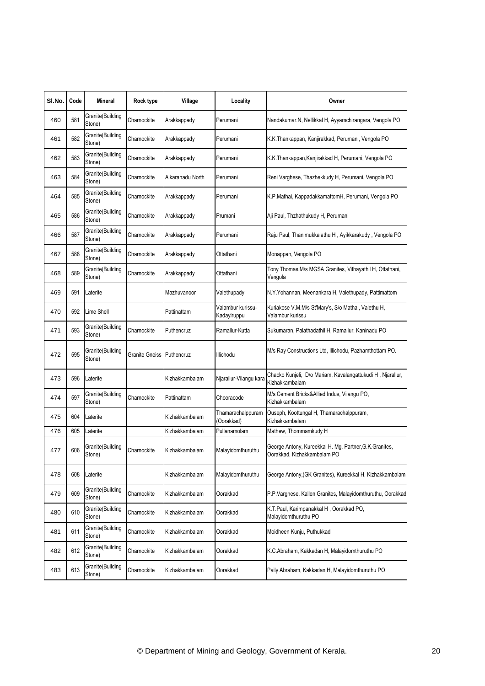| SI.No. | Code | Mineral                    | Rock type      | Village          | Locality                         | Owner                                                                                  |
|--------|------|----------------------------|----------------|------------------|----------------------------------|----------------------------------------------------------------------------------------|
| 460    | 581  | Granite(Building<br>Stone) | Charnockite    | Arakkappady      | Perumani                         | Nandakumar.N, Nellikkal H, Ayyamchirangara, Vengola PO                                 |
| 461    | 582  | Granite(Building<br>Stone) | Charnockite    | Arakkappady      | Perumani                         | K.K.Thankappan, Kanjirakkad, Perumani, Vengola PO                                      |
| 462    | 583  | Granite(Building<br>Stone) | Charnockite    | Arakkappady      | Perumani                         | K.K.Thankappan, Kanjirakkad H, Perumani, Vengola PO                                    |
| 463    | 584  | Granite(Building<br>Stone) | Charnockite    | Aikaranadu North | Perumani                         | Reni Varghese, Thazhekkudy H, Perumani, Vengola PO                                     |
| 464    | 585  | Granite(Building<br>Stone) | Charnockite    | Arakkappady      | Perumani                         | K.P.Mathai, KappadakkamattomH, Perumani, Vengola PO                                    |
| 465    | 586  | Granite(Building<br>Stone) | Charnockite    | Arakkappady      | Prumani                          | Aji Paul, Thzhathukudy H, Perumani                                                     |
| 466    | 587  | Granite(Building<br>Stone) | Charnockite    | Arakkappady      | Perumani                         | Raju Paul, Thanimukkalathu H, Ayikkarakudy, Vengola PO                                 |
| 467    | 588  | Granite(Building<br>Stone) | Charnockite    | Arakkappady      | Ottathani                        | Monappan, Vengola PO                                                                   |
| 468    | 589  | Granite(Building<br>Stone) | Charnockite    | Arakkappady      | Ottathani                        | Tony Thomas, M/s MGSA Granites, Vithayathil H, Ottathani,<br>Vengola                   |
| 469    | 591  | Laterite                   |                | Mazhuvanoor      | Valethupady                      | N.Y.Yohannan, Meenankara H, Valethupady, Pattimattom                                   |
| 470    | 592  | Lime Shell                 |                | Pattinattam      | Valambur kurissu-<br>Kadayiruppu | Kuriakose V.M.M/s St'Mary's, S/o Mathai, Valethu H,<br>Valambur kurissu                |
| 471    | 593  | Granite(Building<br>Stone) | Charnockite    | Puthencruz       | Ramallur-Kutta                   | Sukumaran, Palathadathil H, Ramallur, Kaninadu PO                                      |
| 472    | 595  | Granite(Building<br>Stone) | Granite Gneiss | Puthencruz       | Illichodu                        | M/s Ray Constructions Ltd, Illichodu, Pazhamthottam PO.                                |
| 473    | 596  | Laterite                   |                | Kizhakkambalam   | Njarallur-Vilangu kara           | Chacko Kunjeli, D/o Mariam, Kavalangattukudi H, Njarallur,<br>Kizhakkambalam           |
| 474    | 597  | Granite(Building<br>Stone) | Charnockite    | Pattinattam      | Chooracode                       | M/s Cement Bricks&Allied Indus, Vilangu PO,<br>Kizhakkambalam                          |
| 475    | 604  | Laterite                   |                | Kizhakkambalam   | Thamarachalppuram<br>Oorakkad)   | Ouseph, Koottungal H, Thamarachalppuram,<br>Kizhakkambalam                             |
| 476    | 605  | Laterite                   |                | Kizhakkambalam   | Pullanamolam                     | Mathew, Thommamkudy H                                                                  |
| 477    | 606  | Granite(Building<br>Stone) | Charnockite    | Kizhakkambalam   | Malayidomthuruthu                | George Antony, Kureekkal H. Mg. Partner, G.K. Granites,<br>Oorakkad, Kizhakkambalam PO |
| 478    | 608  | Laterite                   |                | Kizhakkambalam   | Malayidomthuruthu                | George Antony, (GK Granites), Kureekkal H, Kizhakkambalam                              |
| 479    | 609  | Granite(Building<br>Stone) | Charnockite    | Kizhakkambalam   | Oorakkad                         | P.P. Varghese, Kallen Granites, Malayidomthuruthu, Oorakkad                            |
| 480    | 610  | Granite(Building<br>Stone) | Charnockite    | Kizhakkambalam   | Oorakkad                         | K.T.Paul, Karimpanakkal H, Oorakkad PO,<br>Malayidomthuruthu PO                        |
| 481    | 611  | Granite(Building<br>Stone) | Charnockite    | Kizhakkambalam   | Oorakkad                         | Moidheen Kunju, Puthukkad                                                              |
| 482    | 612  | Granite(Building<br>Stone) | Charnockite    | Kizhakkambalam   | Oorakkad                         | K.C.Abraham, Kakkadan H, Malayidomthuruthu PO                                          |
| 483    | 613  | Granite(Building<br>Stone) | Charnockite    | Kizhakkambalam   | Oorakkad                         | Paily Abraham, Kakkadan H, Malayidomthuruthu PO                                        |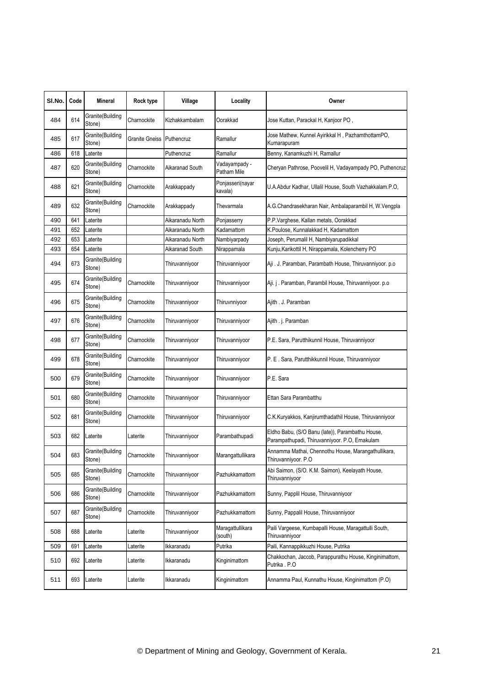| SI.No. | Code | <b>Mineral</b>              | Rock type      | Village          | Locality                     | Owner                                                                                              |
|--------|------|-----------------------------|----------------|------------------|------------------------------|----------------------------------------------------------------------------------------------------|
| 484    | 614  | Granite(Building<br>Stone)  | Charnockite    | Kizhakkambalam   | Oorakkad                     | Jose Kuttan, Parackal H, Kanjoor PO,                                                               |
| 485    | 617  | Granite(Building<br>Stone)  | Granite Gneiss | Puthencruz       | Ramallur                     | Jose Mathew, Kunnel Ayirikkal H, PazhamthottamPO,<br>Kumarapuram                                   |
| 486    | 618  | Laterite                    |                | Puthencruz       | Ramallur                     | Benny, Kanamkuzhi H, Ramallur                                                                      |
| 487    | 620  | Granite(Building<br>Stone)  | Charnockite    | Aikaranad South  | Vadayampady -<br>Patham Mile | Cheryan Pathrose, Poovelil H, Vadayampady PO, Puthencruz                                           |
| 488    | 621  | Granite(Building<br>Stone)  | Charnockite    | Arakkappady      | Ponjasseri(nayar<br>kavala)  | U.A.Abdur Kadhar, Ullalil House, South Vazhakkalam.P.O,                                            |
| 489    | 632  | Granite(Building<br>Stone)  | Charnockite    | Arakkappady      | Thevarmala                   | A.G.Chandrasekharan Nair, Ambalaparambil H, W.Vengpla                                              |
| 490    | 641  | Laterite                    |                | Aikaranadu North | Ponjasserry                  | P.P.Varghese, Kallan metals, Oorakkad                                                              |
| 491    | 652  | Laterite                    |                | Aikaranadu North | Kadamattom                   | K.Poulose, Kunnalakkad H, Kadamattom                                                               |
| 492    | 653  | Laterite                    |                | Aikaranadu North | Nambiyarpady                 | Joseph, Perumalil H, Nambiyarupadikkal                                                             |
| 493    | 654  | Laterite                    |                | Aikaranad South  | Nirappamala                  | Kunju, Karikottil H, Nirappamala, Kolencherry PO                                                   |
| 494    | 673  | Granite(Building<br>Stone)  |                | Thiruvanniyoor   | Thiruvanniyoor               | Aji. J. Paramban, Parambath House, Thiruvanniyoor. p.o                                             |
| 495    | 674  | Granite(Building<br>Stone)  | Charnockite    | Thiruvanniyoor   | Thiruvanniyoor               | Aji. j . Paramban, Parambil House, Thiruvanniyoor. p.o                                             |
| 496    | 675  | Granite(Building<br>Stone)  | Charnockite    | Thiruvanniyoor   | Thiruvnniyoor                | Ajith . J. Paramban                                                                                |
| 497    | 676  | Granite(Building<br>Stone)  | Charnockite    | Thiruvanniyoor   | Thiruvanniyoor               | Ajith . j. Paramban                                                                                |
| 498    | 677  | Granite(Building<br>Stone)  | Charnockite    | Thiruvanniyoor   | Thiruvanniyoor               | P.E. Sara, Parutthikunnil House, Thiruvanniyoor                                                    |
| 499    | 678  | Granite(Building<br>Stone)  | Charnockite    | Thiruvanniyoor   | Thiruvanniyoor               | P. E. Sara, Parutthikkunnil House, Thiruvanniyoor                                                  |
| 500    | 679  | Granite(Building<br>Stone)  | Charnockite    | Thiruvanniyoor   | Thiruvanniyoor               | P.E. Sara                                                                                          |
| 501    | 680  | Granite(Building<br>Stone)  | Charnockite    | Thiruvanniyoor   | Thiruvanniyoor               | Ettan Sara Parambatthu                                                                             |
| 502    | 681  | Granite(Building<br>Stone)  | Charnockite    | Thiruvanniyoor   | Thiruvanniyoor               | C.K.Kuryakkos, Kanjirumthadathil House, Thiruvanniyoor                                             |
| 503    | 682  | Laterite                    | Laterite       | Thiruvanniyoor   | Parambathupadi               | Eldho Babu, (S/O Banu (late)), Parambathu House,<br>Parampathupadi, Thiruvanniyoor. P.O, Ernakulam |
| 504    | 683  | Granite (Building<br>Stone) | Charnockite    | Thiruvanniyoor   | Marangattullikara            | Annamma Mathai, Chennothu House, Marangathullikara,<br>Thiruvanniyoor. P.O                         |
| 505    | 685  | Granite(Building<br>Stone)  | Charnockite    | Thiruvanniyoor   | Pazhukkamattom               | Abi Saimon, (S/O. K.M. Saimon), Keelayath House,<br>Thiruvanniyoor                                 |
| 506    | 686  | Granite(Building<br>Stone)  | Charnockite    | Thiruvanniyoor   | Pazhukkamattom               | Sunny, Papplil House, Thiruvanniyoor                                                               |
| 507    | 687  | Granite(Building<br>Stone)  | Charnockite    | Thiruvanniyoor   | Pazhukkamattom               | Sunny, Pappalil House, Thiruvanniyoor                                                              |
| 508    | 688  | Laterite                    | Laterite       | Thiruvanniyoor   | Maragattullikara<br>(south)  | Paili Vargeese, Kumbapalli House, Maragattulli South,<br>Thiruvanniyoor                            |
| 509    | 691  | Laterite                    | Laterite       | Ikkaranadu       | Putrika                      | Paili, Kannappikkuzhi House, Putrika                                                               |
| 510    | 692  | Laterite                    | Laterite       | Ikkaranadu       | Kinginimattom                | Chakkochan, Jaccob, Parappurathu House, Kinginimattom,<br>Putrika . P.O                            |
| 511    | 693  | Laterite                    | Laterite       | Ikkaranadu       | Kinginimattom                | Annamma Paul, Kunnathu House, Kinginimattom (P.O)                                                  |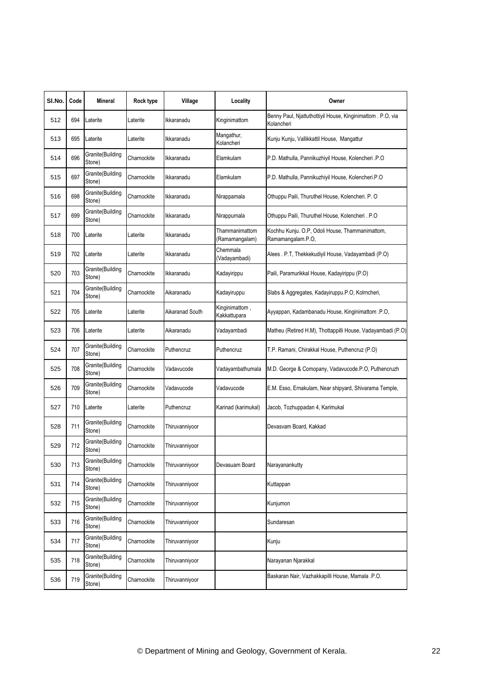| SI.No. | Code | Mineral                    | Rock type   | Village         | Locality                         | Owner                                                                |
|--------|------|----------------------------|-------------|-----------------|----------------------------------|----------------------------------------------------------------------|
|        |      |                            |             |                 |                                  | Benny Paul, Njattuthottiyil House, Kinginimattom . P.O, via          |
| 512    | 694  | Laterite                   | Laterite    | Ikkaranadu      | Kinginimattom                    | Kolancheri                                                           |
| 513    | 695  | Laterite                   | Laterite    | Ikkaranadu      | Mangathur,<br>Kolancheri         | Kunju Kunju, Vallikkattil House, Mangattur                           |
| 514    | 696  | Granite(Building<br>Stone) | Charnockite | Ikkaranadu      | Elamkulam                        | P.D. Mathulla, Pannikuzhiyil House, Kolencheri .P.O                  |
| 515    | 697  | Granite(Building<br>Stone) | Charnockite | Ikkaranadu      | Elamkulam                        | P.D. Mathulla, Pannikuzhiyil House, Kolencheri.P.O                   |
| 516    | 698  | Granite(Building<br>Stone) | Charnockite | Ikkaranadu      | Nirappamala                      | Othuppu Paili, Thuruthel House, Kolencheri. P. O                     |
| 517    | 699  | Granite(Building<br>Stone) | Charnockite | Ikkaranadu      | Nirappumala                      | Othuppu Paili, Thuruthel House, Kolencheri. P.O                      |
| 518    | 700  | Laterite                   | Laterite    | Ikkaranadu      | Thammanimattom<br>(Ramamangalam) | Kochhu Kunju. O.P, Odoli House, Thammanimattom,<br>Ramamangalam.P.O, |
| 519    | 702  | Laterite                   | Laterite    | Ikkaranadu      | Chemmala<br>(Vadayambadi)        | Alees . P.T, Thekkekudiyil House, Vadayambadi (P.O)                  |
| 520    | 703  | Granite(Building<br>Stone) | Charnockite | Ikkaranadu      | Kadayirippu                      | Paili, Paramurikkal House, Kadayirippu (P.O)                         |
| 521    | 704  | Granite(Building<br>Stone) | Charnockite | Aikaranadu      | Kadayiruppu                      | Slabs & Aggregates, Kadayiruppu.P.O, Kolrncheri,                     |
| 522    | 705  | Laterite                   | Laterite    | Aikaranad South | Kinginimattom,<br>Kakkattupara   | Ayyappan, Kadambanadu House, Kinginimattom .P.O,                     |
| 523    | 706  | Laterite                   | Laterite    | Aikaranadu      | Vadayambadi                      | Matheu (Retired H.M), Thottappilli House, Vadayambadi (P.O)          |
| 524    | 707  | Granite(Building<br>Stone) | Charnockite | Puthencruz      | Puthencruz                       | T.P. Ramani, Chirakkal House, Puthencruz (P.O)                       |
| 525    | 708  | Granite(Building<br>Stone) | Charnockite | Vadavucode      | Vadayambathumala                 | M.D. George & Comopany, Vadavucode.P.O, Puthencruzh                  |
| 526    | 709  | Granite(Building<br>Stone) | Charnockite | Vadavucode      | Vadavucode                       | E.M. Esso, Ernakulam, Near shipyard, Shivarama Temple,               |
| 527    | 710  | Laterite                   | Laterite    | Puthencruz      | Karinad (karimukal)              | Jacob, Tozhuppadan 4, Karimukal                                      |
| 528    | 711  | Granite(Building<br>Stone) | Charnockite | Thiruvanniyoor  |                                  | Devasvam Board, Kakkad                                               |
| 529    | 712  | Granite(Building<br>Stone) | Charnockite | Thiruvanniyoor  |                                  |                                                                      |
| 530    | 713  | Granite(Building<br>Stone) | Charnockite | Thiruvanniyoor  | Devasuam Board                   | Narayanankutty                                                       |
| 531    | 714  | Granite(Building<br>Stone) | Charnockite | Thiruvanniyoor  |                                  | Kuttappan                                                            |
| 532    | 715  | Granite(Building<br>Stone) | Charnockite | Thiruvanniyoor  |                                  | Kunjumon                                                             |
| 533    | 716  | Granite(Building<br>Stone) | Charnockite | Thiruvanniyoor  |                                  | Sundaresan                                                           |
| 534    | 717  | Granite(Building<br>Stone) | Charnockite | Thiruvanniyoor  |                                  | Kunju                                                                |
| 535    | 718  | Granite(Building<br>Stone) | Charnockite | Thiruvanniyoor  |                                  | Narayanan Njarakkal                                                  |
| 536    | 719  | Granite(Building<br>Stone) | Charnockite | Thiruvanniyoor  |                                  | Baskaran Nair, Vazhakkapilli House, Mamala .P.O.                     |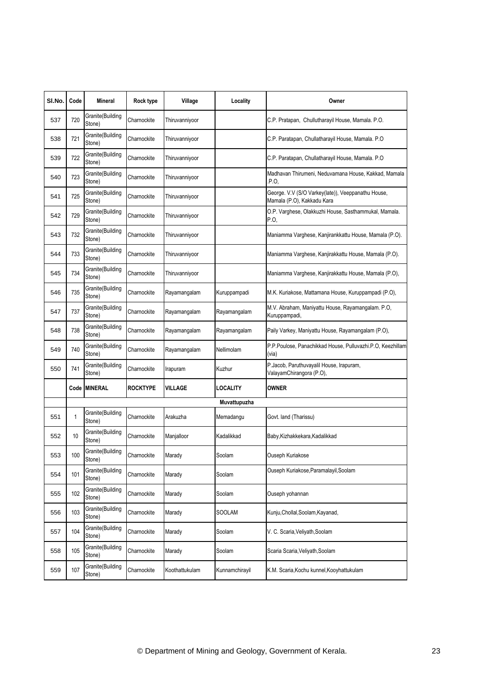| SI.No. | Code | Mineral                    | Rock type       | Village        | Locality       | Owner                                                                            |
|--------|------|----------------------------|-----------------|----------------|----------------|----------------------------------------------------------------------------------|
| 537    | 720  | Granite(Building<br>Stone) | Charnockite     | Thiruvanniyoor |                | C.P. Pratapan, Chullutharayil House, Mamala. P.O.                                |
| 538    | 721  | Granite(Building<br>Stone) | Charnockite     | Thiruvanniyoor |                | C.P. Paratapan, Chullatharayil House, Mamala. P.O.                               |
| 539    | 722  | Granite(Building<br>Stone) | Charnockite     | Thiruvanniyoor |                | C.P. Paratapan, Chullatharayil House, Mamala. P.O.                               |
| 540    | 723  | Granite(Building<br>Stone) | Charnockite     | Thiruvanniyoor |                | Madhavan Thirumeni, Neduvamana House, Kakkad, Mamala<br>.P.O.                    |
| 541    | 725  | Granite(Building<br>Stone) | Charnockite     | Thiruvanniyoor |                | George. V.V (S/O Varkey(late)), Veeppanathu House,<br>Mamala (P.O), Kakkadu Kara |
| 542    | 729  | Granite(Building<br>Stone) | Charnockite     | Thiruvanniyoor |                | O.P. Varghese, Olakkuzhi House, Sasthammukal, Mamala.<br>P.O.                    |
| 543    | 732  | Granite(Building<br>Stone) | Charnockite     | Thiruvanniyoor |                | Maniamma Varghese, Kanjirankkattu House, Mamala (P.O).                           |
| 544    | 733  | Granite(Building<br>Stone) | Charnockite     | Thiruvanniyoor |                | Maniamma Varghese, Kanjirakkattu House, Mamala (P.O).                            |
| 545    | 734  | Granite(Building<br>Stone) | Charnockite     | Thiruvanniyoor |                | Maniamma Varghese, Kanjirakkattu House, Mamala (P.O),                            |
| 546    | 735  | Granite(Building<br>Stone) | Charnockite     | Rayamangalam   | Kuruppampadi   | M.K. Kuriakose, Mattamana House, Kuruppampadi (P.O),                             |
| 547    | 737  | Granite(Building<br>Stone) | Charnockite     | Rayamangalam   | Rayamangalam   | M.V. Abraham, Maniyattu House, Rayamangalam. P.O,<br>Kuruppampadi,               |
| 548    | 738  | Granite(Building<br>Stone) | Charnockite     | Rayamangalam   | Rayamangalam   | Paily Varkey, Maniyattu House, Rayamangalam (P.O),                               |
| 549    | 740  | Granite(Building<br>Stone) | Charnockite     | Rayamangalam   | Nellimolam     | P.P.Poulose, Panachikkad House, Pulluvazhi.P.O, Keezhillam<br>(via)              |
| 550    | 741  | Granite(Building<br>Stone) | Charnockite     | Irapuram       | Kuzhur         | P.Jacob, Paruthuvayalil House, Irapuram,<br>ValayamChirangora (P.O),             |
|        |      | Code MINERAL               | <b>ROCKTYPE</b> | <b>VILLAGE</b> | LOCALITY       | <b>OWNER</b>                                                                     |
|        |      |                            |                 |                | Muvattupuzha   |                                                                                  |
| 551    | 1    | Granite(Building<br>Stone) | Charnockite     | Arakuzha       | Memadangu      | Govt. land (Tharissu)                                                            |
| 552    | 10   | Granite(Building<br>Stone) | Charnockite     | Manjalloor     | Kadalikkad     | Baby,Kizhakkekara,Kadalikkad                                                     |
| 553    | 100  | Granite(Building<br>Stone) | Charnockite     | Marady         | Soolam         | Ouseph Kuriakose                                                                 |
| 554    | 101  | Granite(Building<br>Stone) | Charnockite     | Marady         | Soolam         | Ouseph Kuriakose, Paramalayil, Soolam                                            |
| 555    | 102  | Granite(Building<br>Stone) | Charnockite     | Marady         | Soolam         | Ouseph yohannan                                                                  |
| 556    | 103  | Granite(Building<br>Stone) | Charnockite     | Marady         | <b>SOOLAM</b>  | Kunju, Chollal, Soolam, Kayanad,                                                 |
| 557    | 104  | Granite(Building<br>Stone) | Charnockite     | Marady         | Soolam         | V. C. Scaria, Veliyath, Soolam                                                   |
| 558    | 105  | Granite(Building<br>Stone) | Charnockite     | Marady         | Soolam         | Scaria Scaria, Veliyath, Soolam                                                  |
| 559    | 107  | Granite(Building<br>Stone) | Charnockite     | Koothattukulam | Kunnamchirayil | K.M. Scaria, Kochu kunnel, Kooyhattukulam                                        |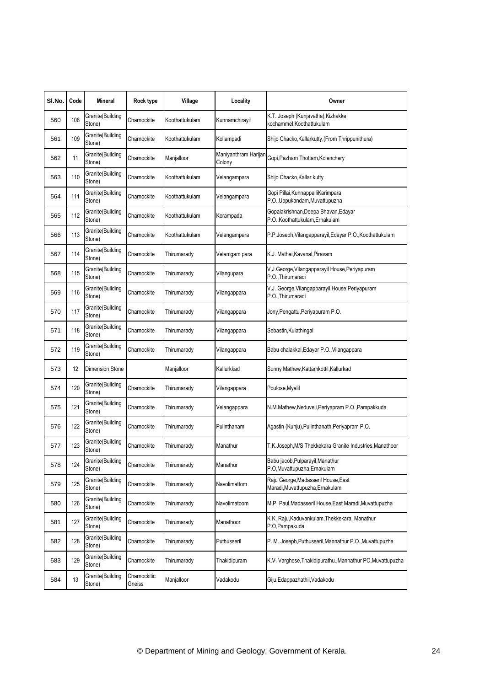| SI.No. | Code | Mineral                    | Rock type              | Village        | Locality                       | Owner                                                                   |
|--------|------|----------------------------|------------------------|----------------|--------------------------------|-------------------------------------------------------------------------|
| 560    | 108  | Granite(Building<br>Stone) | Charnockite            | Koothattukulam | Kunnamchirayil                 | K.T. Joseph (Kunjavatha), Kizhakke<br>kochammel,Koothattukulam          |
| 561    | 109  | Granite(Building<br>Stone) | Charnockite            | Koothattukulam | Kollampadi                     | Shijo Chacko, Kallarkutty, (From Thrippunithura)                        |
| 562    | 11   | Granite(Building<br>Stone) | Charnockite            | Manjalloor     | Maniyanthram Harijan<br>Colony | Gopi, Pazham Thottam, Kolenchery                                        |
| 563    | 110  | Granite(Building<br>Stone) | Charnockite            | Koothattukulam | Velangampara                   | Shijo Chacko, Kallar kutty                                              |
| 564    | 111  | Granite(Building<br>Stone) | Charnockite            | Koothattukulam | Velangampara                   | Gopi Pillai, Kunnappalli Karimpara<br>P.O., Uppukandam, Muvattupuzha    |
| 565    | 112  | Granite(Building<br>Stone) | Charnockite            | Koothattukulam | Korampada                      | Gopalakrishnan, Deepa Bhavan, Edayar<br>P.O., Koothattukulam, Ernakulam |
| 566    | 113  | Granite(Building<br>Stone) | Charnockite            | Koothattukulam | Velangampara                   | P.P.Joseph, Vilangapparayil, Edayar P.O., Koothattukulam                |
| 567    | 114  | Granite(Building<br>Stone) | Charnockite            | Thirumarady    | Velamgam para                  | K.J. Mathai, Kavanal, Piravam                                           |
| 568    | 115  | Granite(Building<br>Stone) | Charnockite            | Thirumarady    | Vilangupara                    | V.J.George, Vilangapparayil House, Periyapuram<br>P.O., Thirumaradi     |
| 569    | 116  | Granite(Building<br>Stone) | Charnockite            | Thirumarady    | Vilangappara                   | V.J. George, Vilangapparayil House, Periyapuram<br>P.O., Thirumaradi    |
| 570    | 117  | Granite(Building<br>Stone) | Charnockite            | Thirumarady    | Vilangappara                   | Jony, Pengattu, Periyapuram P.O.                                        |
| 571    | 118  | Granite(Building<br>Stone) | Charnockite            | Thirumarady    | Vilangappara                   | Sebastin, Kulathingal                                                   |
| 572    | 119  | Granite(Building<br>Stone) | Charnockite            | Thirumarady    | Vilangappara                   | Babu chalakkal, Edayar P.O., Vilangappara                               |
| 573    | 12   | <b>Dimension Stone</b>     |                        | Manjalloor     | Kallurkkad                     | Sunny Mathew, Kattamkottil, Kallurkad                                   |
| 574    | 120  | Granite(Building<br>Stone) | Charnockite            | Thirumarady    | Vilangappara                   | Poulose, Myalil                                                         |
| 575    | 121  | Granite(Building<br>Stone) | Charnockite            | Thirumarady    | Velangappara                   | N.M.Mathew, Neduveli, Periyapram P.O., Pampakkuda                       |
| 576    | 122  | Granite(Building<br>Stone) | Charnockite            | Thirumarady    | Pulinthanam                    | Agastin (Kunju), Pulinthanath, Periyapram P.O.                          |
| 577    | 123  | Granite(Building<br>Stone) | Charnockite            | Thirumarady    | Manathur                       | T.K.Joseph, M/S Thekkekara Granite Industries, Manathoor                |
| 578    | 124  | Granite(Building<br>Stone) | Charnockite            | Thirumarady    | Manathur                       | Babu jacob, Pulparayil, Manathur<br>P.O, Muvattupuzha, Ernakulam        |
| 579    | 125  | Granite(Building<br>Stone) | Charnockite            | Thirumarady    | Navolimattom                   | Raju George, Madasseril House, East<br>Maradi, Muvattupuzha, Ernakulam  |
| 580    | 126  | Granite(Building<br>Stone) | Charnockite            | Thirumarady    | Navolimatoom                   | M.P. Paul, Madasseril House, East Maradi, Muvattupuzha                  |
| 581    | 127  | Granite(Building<br>Stone) | Charnockite            | Thirumarady    | Manathoor                      | K K. Raju, Kaduvankulam, Thekkekara, Manathur<br>P.O.Pampakuda          |
| 582    | 128  | Granite(Building<br>Stone) | Charnockite            | Thirumarady    | Puthusseril                    | P. M. Joseph, Puthusseril, Mannathur P.O., Muvattupuzha                 |
| 583    | 129  | Granite(Building<br>Stone) | Charnockite            | Thirumarady    | Thakidipuram                   | K.V. Varghese, Thakidipurathu., Mannathur PO, Muvattupuzha              |
| 584    | 13   | Granite(Building<br>Stone) | Charnockitic<br>Gneiss | Manjalloor     | Vadakodu                       | Giju, Edappazhathil, Vadakodu                                           |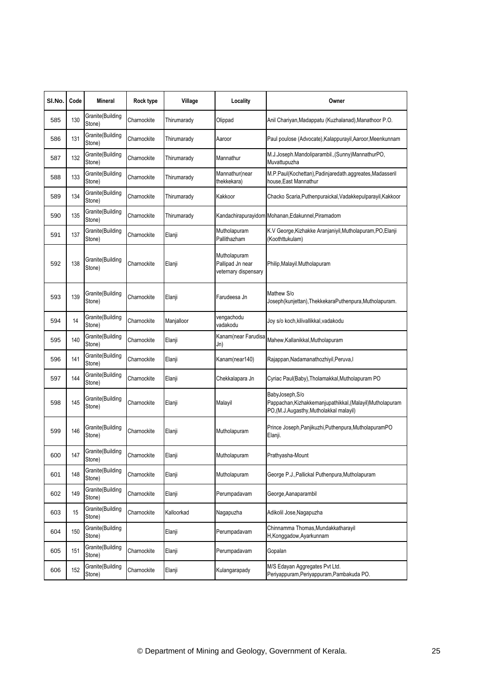| SI.No. | Code | Mineral                    | Rock type   | Village     | Locality                                                 | Owner                                                                                                                 |
|--------|------|----------------------------|-------------|-------------|----------------------------------------------------------|-----------------------------------------------------------------------------------------------------------------------|
| 585    | 130  | Granite(Building<br>Stone) | Charnockite | Thirumarady | Olippad                                                  | Anil Chariyan, Madappatu (Kuzhalanad), Manathoor P.O.                                                                 |
| 586    | 131  | Granite(Building<br>Stone) | Charnockite | Thirumarady | Aaroor                                                   | Paul poulose (Advocate), Kalappurayil, Aaroor, Meenkunnam                                                             |
| 587    | 132  | Granite(Building<br>Stone) | Charnockite | Thirumarady | Mannathur                                                | M.J.Joseph.Mandoliparambil., (Sunny)MannathurPO,<br>Muvattupuzha                                                      |
| 588    | 133  | Granite(Building<br>Stone) | Charnockite | Thirumarady | Mannathur(near<br>thekkekara)                            | M.P.Paul(Kochettan),Padinjaredath.aggreates,Madasseril<br>house, East Mannathur                                       |
| 589    | 134  | Granite(Building<br>Stone) | Charnockite | Thirumarady | Kakkoor                                                  | Chacko Scaria, Puthenpuraickal, Vadakkepulparayil, Kakkoor                                                            |
| 590    | 135  | Granite(Building<br>Stone) | Charnockite | Thirumarady |                                                          | Kandachirapurayidom Mohanan, Edakunnel, Piramadom                                                                     |
| 591    | 137  | Granite(Building<br>Stone) | Charnockite | Elanji      | Mutholapuram<br>Pallithazham                             | K.V George, Kizhakke Aranjaniyil, Mutholapuram, PO, Elanji<br>(Koothttukulam)                                         |
| 592    | 138  | Granite(Building<br>Stone) | Charnockite | Elanji      | Mutholapuram<br>Pallipad Jn near<br>veternary dispensary | Philip, Malayil. Mutholapuram                                                                                         |
| 593    | 139  | Granite(Building<br>Stone) | Charnockite | Elanji      | Farudeesa Jn                                             | Mathew S/o<br>Joseph(kunjettan), ThekkekaraPuthenpura, Mutholapuram.                                                  |
| 594    | 14   | Granite(Building<br>Stone) | Charnockite | Manjalloor  | vengachodu<br>vadakodu                                   | Joy s/o koch, kilivallikkal, vadakodu                                                                                 |
| 595    | 140  | Granite(Building<br>Stone) | Charnockite | Elanji      | Kanam(near Farudisa<br>Jn)                               | Mahew, Kallanikkal, Mutholapuram                                                                                      |
| 596    | 141  | Granite(Building<br>Stone) | Charnockite | Elanji      | Kanam(near140)                                           | Rajappan, Nadamanathozhiyil, Peruva, I                                                                                |
| 597    | 144  | Granite(Building<br>Stone) | Charnockite | Elanji      | Chekkalapara Jn                                          | Cyriac Paul(Baby), Tholamakkal, Mutholapuram PO                                                                       |
| 598    | 145  | Granite(Building<br>Stone) | Charnockite | Elanji      | Malayil                                                  | BabyJoseph, S/o<br>Pappachan, Kizhakkemanjupathikkal, (Malayil) Mutholapuram<br>PO,(M.J.Augasthy,Mutholakkal malayil) |
| 599    | 146  | Granite(Building<br>Stone) | Charnockite | Elanji      | Mutholapuram                                             | Prince Joseph, Panjikuzhi, Puthenpura, MutholapuramPO<br>Elanji.                                                      |
| 600    | 147  | Granite(Building<br>Stone) | Charnockite | Elanji      | Mutholapuram                                             | Prathyasha-Mount                                                                                                      |
| 601    | 148  | Granite(Building<br>Stone) | Charnockite | Elanji      | Mutholapuram                                             | George P.J., Pallickal Puthenpura, Mutholapuram                                                                       |
| 602    | 149  | Granite(Building<br>Stone) | Charnockite | Elanji      | Perumpadavam                                             | George, Aanaparambil                                                                                                  |
| 603    | 15   | Granite(Building<br>Stone) | Charnockite | Kalloorkad  | Nagapuzha                                                | Adikolil Jose, Nagapuzha                                                                                              |
| 604    | 150  | Granite(Building<br>Stone) |             | Elanji      | Perumpadavam                                             | Chinnamma Thomas, Mundakkatharayil<br>H, Konggadow, Ayarkunnam                                                        |
| 605    | 151  | Granite(Building<br>Stone) | Charnockite | Elanji      | Perumpadavam                                             | Gopalan                                                                                                               |
| 606    | 152  | Granite(Building<br>Stone) | Charnockite | Elanji      | Kulangarapady                                            | M/S Edayan Aggregates Pvt Ltd.<br>Periyappuram, Periyappuram, Pambakuda PO.                                           |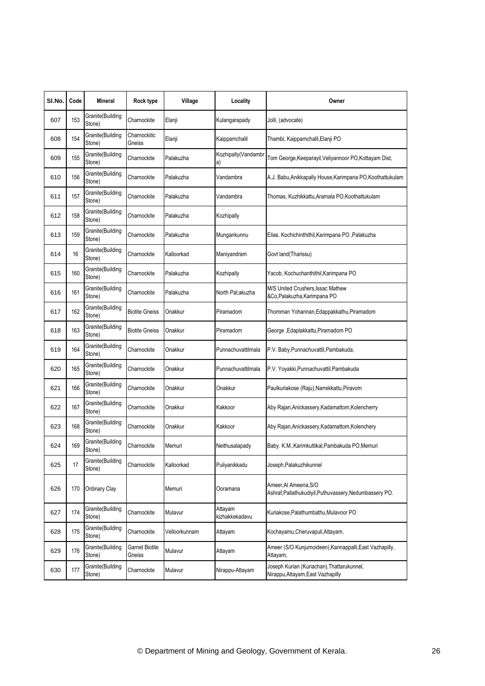| SI.No. | Code | Mineral                    | Rock type                | Village       | Locality                  | Owner                                                                            |
|--------|------|----------------------------|--------------------------|---------------|---------------------------|----------------------------------------------------------------------------------|
| 607    | 153  | Granite(Building<br>Stone) | Charnockite              | Elanji        | Kulangarapady             | Jolli, (advocate)                                                                |
| 608    | 154  | Granite(Building<br>Stone) | Charnockitic<br>Gneiss   | Elanji        | Kaippamchalil             | Thambi, Kaippamchalil, Elanji PO                                                 |
| 609    | 155  | Granite(Building<br>Stone) | Charnockite              | Palakuzha     | Kozhipally(Vandambr<br>a) | Tom George, Keeparayil, Veliyannoor PO, Kottayam Dist,                           |
| 610    | 156  | Granite(Building<br>Stone) | Charnockite              | Palakuzha     | Vandambra                 | A.J. Babu, Anikkapally House, Karimpana PO, Koothattukulam                       |
| 611    | 157  | Granite(Building<br>Stone) | Charnockite              | Palakuzha     | Vandambra                 | Thomas, Kuzhikkattu,Aramala PO,Koothattukulam                                    |
| 612    | 158  | Granite(Building<br>Stone) | Charnockite              | Palakuzha     | Kozhipally                |                                                                                  |
| 613    | 159  | Granite(Building<br>Stone) | Charnockite              | Palakuzha     | Mungankunnu               | Elias. Kochichinthithil, Karimpana PO, Palakuzha                                 |
| 614    | 16   | Granite(Building<br>Stone) | Charnockite              | Kalloorkad    | Maniyandram               | Govt land(Tharissu)                                                              |
| 615    | 160  | Granite(Building<br>Stone) | Charnockite              | Palakuzha     | Kozhipally                | Yacob, Kochuchanthithil, Karimpana PO                                            |
| 616    | 161  | Granite(Building<br>Stone) | Charnockite              | Palakuzha     | North Pal;akuzha          | M/S United Crushers, Issac Mathew<br>&Co, Palakuzha, Karimpana PO                |
| 617    | 162  | Granite(Building<br>Stone) | <b>Biotite Gneiss</b>    | Onakkur       | Piramadom                 | Thomman Yohannan, Edappakkathu, Piramadom                                        |
| 618    | 163  | Granite(Building<br>Stone) | <b>Biotite Gneiss</b>    | Onakkur       | Piramadom                 | George , Edaplakkattu, Piramadom PO                                              |
| 619    | 164  | Granite(Building<br>Stone) | Charnockite              | Onakkur       | Punnachuvattilmala        | P.V. Baby, Punnachuvattil, Pambakuda,                                            |
| 620    | 165  | Granite(Building<br>Stone) | Charnockite              | Onakkur       | Punnachuvattilmala        | P.V. Yoyakki, Punnachuvattil, Pambakuda                                          |
| 621    | 166  | Granite(Building<br>Stone) | Charnockite              | Onakkur       | Onakkur                   | Paulkuriakose (Raju), Narrekkattu, Piravom                                       |
| 622    | 167  | Granite(Building<br>Stone) | Charnockite              | Onakkur       | Kakkoor                   | Aby Rajan, Anickassery, Kadamattom, Kolencherry                                  |
| 623    | 168  | Granite(Building<br>Stone) | Charnockite              | Onakkur       | Kakkoor                   | Aby Rajan, Anickassery, Kadamattom, Kolenchery                                   |
| 624    | 169  | Granite(Building<br>Stone) | Charnockite              | Memuri        | Neithusalapady            | Baby. K.M., Karimkuttikal, Pambakuda PO, Memuri                                  |
| 625    | 17   | Granite(Building<br>Stone) | Charnockite              | Kalloorkad    | Puliyanikkadu             | Joseph, Palakuzhikunnel                                                          |
| 626    | 170  | Ordinary Clay              |                          | Memuri        | Ooramana                  | Ameer, Al Ameena, S/O<br>Ashraf, Pallathukudiyil, Puthuvassery, Nedumbassery PO. |
| 627    | 174  | Granite(Building<br>Stone) | Charnockite              | Mulavur       | Attayam<br>kizhakkekadavu | Kuriakose, Palathumbathu, Mulavoor PO                                            |
| 628    | 175  | Granite(Building<br>Stone) | Charnockite              | Velloorkunnam | Attayam                   | Kochayamu, Cheruvapuli, Attayam,                                                 |
| 629    | 176  | Granite(Building<br>Stone) | Garnet Biotite<br>Gneiss | Mulavur       | Attayam                   | Ameer (S/O Kunjumoideen), Kannappalli, East Vazhapilly,<br>Attayam,              |
| 630    | 177  | Granite(Building<br>Stone) | Charnockite              | Mulavur       | Nirappu-Attayam           | Joseph Kurian (Kuriachan), Thattarukunnel,<br>Nirappu, Attayam, East Vazhapilly  |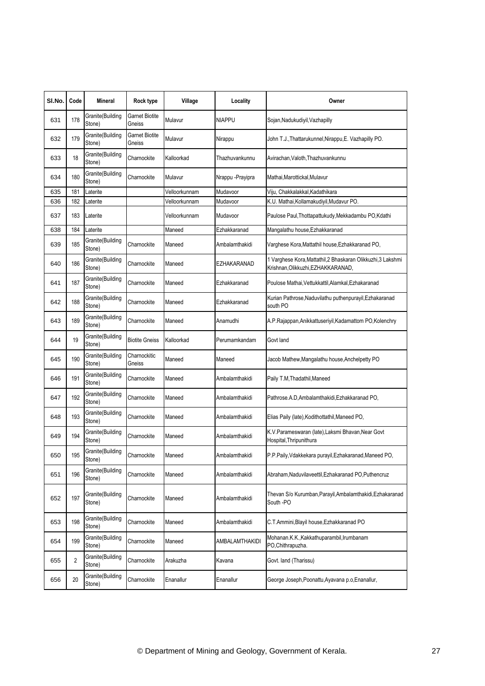| SI.No. | Code           | Mineral                    | Rock type                       | Village       | Locality         | Owner                                                                                              |
|--------|----------------|----------------------------|---------------------------------|---------------|------------------|----------------------------------------------------------------------------------------------------|
| 631    | 178            | Granite(Building<br>Stone) | Garnet Biotite<br>Gneiss        | Mulavur       | NIAPPU           | Sojan,Nadukudiyil,Vazhapilly                                                                       |
| 632    | 179            | Granite(Building<br>Stone) | <b>Garnet Biotite</b><br>Gneiss | Mulavur       | Nirappu          | John T.J., Thattarukunnel, Nirappu, E. Vazhapilly PO.                                              |
| 633    | 18             | Granite(Building<br>Stone) | Charnockite                     | Kalloorkad    | Thazhuvankunnu   | Avirachan, Valoth, Thazhuvankunnu                                                                  |
| 634    | 180            | Granite(Building<br>Stone) | Charnockite                     | Mulavur       | Nrappu -Prayipra | Mathai,Marottickal,Mulavur                                                                         |
| 635    | 181            | Laterite                   |                                 | Velloorkunnam | Mudavoor         | Viju, Chakkalakkal, Kadathikara                                                                    |
| 636    | 182            | Laterite                   |                                 | Velloorkunnam | Mudavoor         | K.U. Mathai, Kollamakudiyil, Mudavur PO.                                                           |
| 637    | 183            | Laterite                   |                                 | Velloorkunnam | Mudavoor         | Paulose Paul, Thottapattukudy, Mekkadambu PO, Kdathi                                               |
| 638    | 184            | Laterite                   |                                 | Maneed        | Ezhakkaranad     | Mangalathu house, Ezhakkaranad                                                                     |
| 639    | 185            | Granite(Building<br>Stone) | Charnockite                     | Maneed        | Ambalamthakidi   | Varghese Kora, Mattathil house, Ezhakkaranad PO,                                                   |
| 640    | 186            | Granite(Building<br>Stone) | Charnockite                     | Maneed        | EZHAKARANAD      | 1 Varghese Kora, Mattathil, 2 Bhaskaran Olikkuzhi, 3 Lakshmi<br>Krishnan, Olikkuzhi, EZHAKKARANAD, |
| 641    | 187            | Granite(Building<br>Stone) | Charnockite                     | Maneed        | Ezhakkaranad     | Poulose Mathai, Vettukkattil, Alamkal, Ezhakaranad                                                 |
| 642    | 188            | Granite(Building<br>Stone) | Charnockite                     | Maneed        | Ezhakkaranad     | Kurian Pathrose, Naduvilathu puthenpurayil, Ezhakaranad<br>south PO                                |
| 643    | 189            | Granite(Building<br>Stone) | Charnockite                     | Maneed        | Anamudhi         | A.P.Rajappan,Anikkattuseriyil,Kadamattom PO,Kolenchry                                              |
| 644    | 19             | Granite(Building<br>Stone) | <b>Biotite Gneiss</b>           | Kalloorkad    | Perumamkandam    | Govt land                                                                                          |
| 645    | 190            | Granite(Building<br>Stone) | Charnockitic<br>Gneiss          | Maneed        | Maneed           | Jacob Mathew, Mangalathu house, Anchelpetty PO                                                     |
| 646    | 191            | Granite(Building<br>Stone) | Charnockite                     | Maneed        | Ambalamthakidi   | Paily T.M, Thadathil, Maneed                                                                       |
| 647    | 192            | Granite(Building<br>Stone) | Charnockite                     | Maneed        | Ambalamthakidi   | Pathrose.A.D,Ambalamthakidi,Ezhakkaranad PO,                                                       |
| 648    | 193            | Granite(Building<br>Stone) | Charnockite                     | Maneed        | Ambalamthakidi   | Elias Paily (late), Kodithottathil, Maneed PO,                                                     |
| 649    | 194            | Granite(Building<br>Stone) | Charnockite                     | Maneed        | Ambalamthakidi   | K.V.Parameswaran (late),Laksmi Bhavan,Near Govt<br>Hospital,Thripunithura                          |
| 650    | 195            | Granite(Building<br>Stone) | Charnockite                     | Maneed        | Ambalamthakidi   | P.P.Paily, Vdakkekara purayil, Ezhakaranad, Maneed PO,                                             |
| 651    | 196            | Granite(Building<br>Stone) | Charnockite                     | Maneed        | Ambalamthakidi   | Abraham, Naduvilaveettil, Ezhakaranad PO, Puthencruz                                               |
| 652    | 197            | Granite(Building<br>Stone) | Charnockite                     | Maneed        | Ambalamthakidi   | Thevan S/o Kurumban, Parayil, Ambalamthakidi, Ezhakaranad<br>South -PO                             |
| 653    | 198            | Granite(Building<br>Stone) | Charnockite                     | Maneed        | Ambalamthakidi   | C.T.Ammini, Blayil house, Ezhakkaranad PO                                                          |
| 654    | 199            | Granite(Building<br>Stone) | Charnockite                     | Maneed        | AMBALAMTHAKIDI   | Mohanan.K.K.,Kakkathuparambil,Irumbanam<br>PO.Chithrapuzha.                                        |
| 655    | $\overline{2}$ | Granite(Building<br>Stone) | Charnockite                     | Arakuzha      | Kavana           | Govt. land (Tharissu)                                                                              |
| 656    | 20             | Granite(Building<br>Stone) | Charnockite                     | Enanallur     | Enanallur        | George Joseph, Poonattu, Ayavana p.o, Enanallur,                                                   |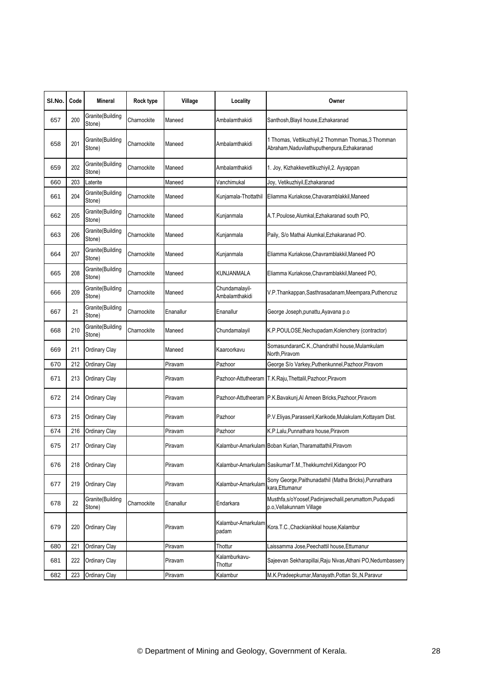| SI.No. | Code | Mineral                    | Rock type   | Village   | Locality                         | Owner                                                                                               |
|--------|------|----------------------------|-------------|-----------|----------------------------------|-----------------------------------------------------------------------------------------------------|
| 657    | 200  | Granite(Building<br>Stone) | Charnockite | Maneed    | Ambalamthakidi                   | Santhosh, Blayil house, Ezhakaranad                                                                 |
| 658    | 201  | Granite(Building<br>Stone) | Charnockite | Maneed    | Ambalamthakidi                   | 1 Thomas, Vettikuzhiyil, 2 Thomman Thomas, 3 Thomman<br>Abraham, Naduvilathuputhenpura, Ezhakaranad |
| 659    | 202  | Granite(Building<br>Stone) | Charnockite | Maneed    | Ambalamthakidi                   | 1. Joy, Kizhakkevettikuzhiyil, 2. Ayyappan                                                          |
| 660    | 203  | Laterite                   |             | Maneed    | Vanchimukal                      | Joy, Vetikuzhiyil, Ezhakaranad                                                                      |
| 661    | 204  | Granite(Building<br>Stone) | Charnockite | Maneed    | Kunjamala-Thottathil             | Eliamma Kuriakose, Chavaramblakkil, Maneed                                                          |
| 662    | 205  | Granite(Building<br>Stone) | Charnockite | Maneed    | Kunjanmala                       | A.T.Poulose, Alumkal, Ezhakaranad south PO,                                                         |
| 663    | 206  | Granite(Building<br>Stone) | Charnockite | Maneed    | Kunjanmala                       | Paily, S/o Mathai Alumkal, Ezhakaranad PO.                                                          |
| 664    | 207  | Granite(Building<br>Stone) | Charnockite | Maneed    | Kunjanmala                       | Eliamma Kuriakose, Chavramblakkil, Maneed PO                                                        |
| 665    | 208  | Granite(Building<br>Stone) | Charnockite | Maneed    | KUNJANMALA                       | Eliamma Kuriakose, Chavramblakkil, Maneed PO,                                                       |
| 666    | 209  | Granite(Building<br>Stone) | Charnockite | Maneed    | Chundamalayil-<br>Ambalamthakidi | V.P.Thankappan,Sasthrasadanam,Meempara,Puthencruz                                                   |
| 667    | 21   | Granite(Building<br>Stone) | Charnockite | Enanallur | Enanallur                        | George Joseph, punattu, Ayavana p.o                                                                 |
| 668    | 210  | Granite(Building<br>Stone) | Charnockite | Maneed    | Chundamalayil                    | K.P.POULOSE, Nechupadam, Kolenchery (contractor)                                                    |
| 669    | 211  | Ordinary Clay              |             | Maneed    | Kaaroorkavu                      | SomasundaranC.K., Chandrathil house, Mulamkulam<br>North, Piravom                                   |
| 670    | 212  | Ordinary Clay              |             | Piravam   | Pazhoor                          | George S/o Varkey, Puthenkunnel, Pazhoor, Piravom                                                   |
| 671    | 213  | Ordinary Clay              |             | Piravam   |                                  | Pazhoor-Attutheeram T.K.Raju, Thettalil, Pazhoor, Piravom                                           |
| 672    | 214  | Ordinary Clay              |             | Piravam   |                                  | Pazhoor-Attutheeram P.K.Bavakunj, Al Ameen Bricks, Pazhoor, Piravom                                 |
| 673    | 215  | Ordinary Clay              |             | Piravam   | Pazhoor                          | P.V.Eliyas, Parasseril, Karikode, Mulakulam, Kottayam Dist.                                         |
| 674    | 216  | Ordinary Clay              |             | Piravam   | Pazhoor                          | K.P.Lalu, Punnathara house, Piravom                                                                 |
| 675    | 217  | Ordinary Clay              |             | Piravam   |                                  | Kalambur-Amarkulam Boban Kurian, Tharamattathil, Piravom                                            |
| 676    | 218  | Ordinary Clay              |             | Piravam   |                                  | Kalambur-Amarkulam SasikumarT.M., Thekkumchril, Kidangoor PO                                        |
| 677    | 219  | Ordinary Clay              |             | Piravam   | Kalambur-Amarkulam               | Sony George, Paithunadathil (Matha Bricks), Punnathara<br>kara,Ettumanur                            |
| 678    | 22   | Granite(Building<br>Stone) | Charnockite | Enanallur | Endarkara                        | Musthfa,s/oYoosef,Padinjarechalil,perumattom,Pudupadi<br>p.o.Vellakunnam Village                    |
| 679    | 220  | Ordinary Clay              |             | Piravam   | Kalambur-Amarkulam<br>padam      | Kora.T.C., Chackianikkal house, Kalambur                                                            |
| 680    | 221  | Ordinary Clay              |             | Piravam   | Thottur                          | aissamma Jose, Peechattil house, Ettumanur                                                          |
| 681    | 222  | Ordinary Clay              |             | Piravam   | Kalamburkavu-<br>Thottur         | Sajeevan Sekharapillai, Raju Nivas, Athani PO, Nedumbassery                                         |
| 682    | 223  | Ordinary Clay              |             | Piravam   | Kalambur                         | M.K.Pradeepkumar, Manayath, Pottan St., N.Paravur                                                   |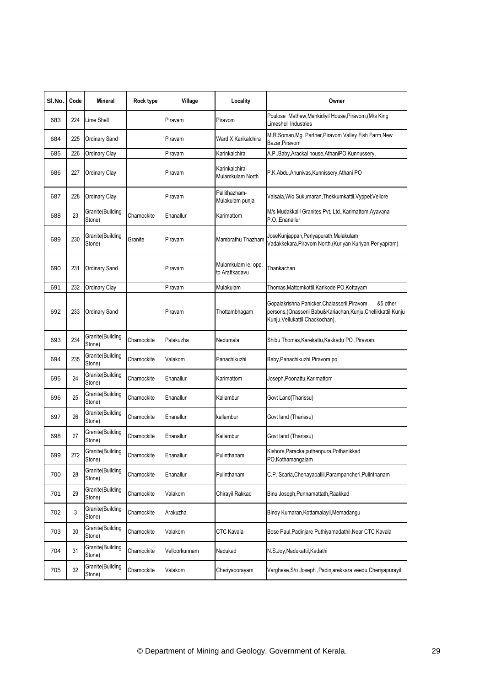| SI.No. | Code | <b>Mineral</b>              | Rock type   | Village       | Locality                              | Owner                                                                                                                                                         |
|--------|------|-----------------------------|-------------|---------------|---------------------------------------|---------------------------------------------------------------------------------------------------------------------------------------------------------------|
| 683    | 224  | Lime Shell                  |             | Piravam       | Piravom                               | Poulose Mathew, Mankidiyil House, Piravom, (M/s King<br>Limeshell Industries                                                                                  |
| 684    | 225  | Ordinary Sand               |             | Piravam       | Ward X Karikalchira                   | M.R.Soman, Mg. Partner, Piravom Valley Fish Farm, New<br>Bazar, Piravom                                                                                       |
| 685    | 226  | Ordinary Clay               |             | Piravam       | Karinkalchira                         | A.PBaby,Arackal house,AthaniPO,Kunnussery,                                                                                                                    |
| 686    | 227  | Ordinary Clay               |             | Piravam       | Karinkalchira-<br>Mulamkulam North    | P.K.Abdu, Anunivas, Kunnissery, Athani PO                                                                                                                     |
| 687    | 228  | Ordinary Clay               |             | Piravam       | Pallithazham-<br>Mulakulam punja      | Valsala, W/o Sukumaran, Thekkumkattil, Vyppel; Vellore                                                                                                        |
| 688    | 23   | Granite(Building<br>Stone)  | Charnockite | Enanallur     | Karimattom                            | M/s Mudakkalil Granites Pvt. Ltd., Karimattom, Ayavana<br>P.O., Enanallur                                                                                     |
| 689    | 230  | Granite(Building<br>Stone)  | Granite     | Piravam       | Mambrathu Thazham                     | JoseKunjappan, Periyapurath, Mulakulam<br>Vadakkekara, Piravom North, (Kuriyan Kuriyan, Periyapram)                                                           |
| 690    | 231  | Ordinary Sand               |             | Piravam       | Mulamkulam ie. opp.<br>to Arattkadavu | Thankachan                                                                                                                                                    |
| 691    | 232  | Ordinary Clay               |             | Piravam       | Mulakulam                             | Thomas,Mattomkottil,Karikode PO,Kottayam                                                                                                                      |
| 692    | 233  | Ordinary Sand               |             | Piravam       | Thottambhagam                         | Gopalakrishna Panicker, Chalasseril, Piravom<br>&5 other<br>persons, (Onasseril Babu&Kariachan, Kunju, Chellikkattil Kunju<br>Kunju, Vellukattil Chackochan), |
| 693    | 234  | Granite(Building<br>Stone)  | Charnockite | Palakuzha     | Nedumala                              | Shibu Thomas, Karekattu, Kakkadu PO, Piravom.                                                                                                                 |
| 694    | 235  | Granite(Building<br>Stone)  | Charnockite | Valakom       | Panachikuzhi                          | Baby, Panachikuzhi, Piravom po.                                                                                                                               |
| 695    | 24   | Granite(Building<br>Stone)  | Charnockite | Enanallur     | Karimattom                            | Joseph, Poonattu, Karimattom                                                                                                                                  |
| 696    | 25   | Granite(Building<br>Stone)  | Charnockite | Enanallur     | Kallambur                             | Govt Land(Tharissu)                                                                                                                                           |
| 697    | 26   | Granite(Building<br>Stone)  | Charnockite | Enanallur     | kallambur                             | Govt land (Tharissu)                                                                                                                                          |
| 698    | 27   | Granite(Building<br>Stone)  | Charnockite | Enanallur     | Kallambur                             | Govt land (Tharissu)                                                                                                                                          |
| 699    | 272  | Granite (Building<br>Stone) | Charnockite | Enanallur     | Pulinthanam                           | Kishore.Parackalputhenpura.Pothanikkad<br>PO,Kothamangalam                                                                                                    |
| 700    | 28   | Granite(Building<br>Stone)  | Charnockite | Enanallur     | Pulinthanam                           | C.P. Scaria, Chenayapallil, Parampancheri, Pulinthanam                                                                                                        |
| 701    | 29   | Granite(Building<br>Stone)  | Charnockite | Valakom       | Chirayil Rakkad                       | Binu Joseph, Punnamattath, Raakkad                                                                                                                            |
| 702    | 3    | Granite(Building<br>Stone)  | Charnockite | Arakuzha      |                                       | Binoy Kumaran, Kottamalayil, Memadangu                                                                                                                        |
| 703    | 30   | Granite(Building<br>Stone)  | Charnockite | Valakom       | CTC Kavala                            | Bose Paul, Padinjare Puthiyamadathil, Near CTC Kavala                                                                                                         |
| 704    | 31   | Granite(Building<br>Stone)  | Charnockite | Velloorkunnam | Nadukad                               | N.S.Joy, Nadukattil, Kadathi                                                                                                                                  |
| 705    | 32   | Granite(Building<br>Stone)  | Charnockite | Valakom       | Cheriyaoorayam                        | Varghese, S/o Joseph , Padinjarekkara veedu, Cheriyapurayil                                                                                                   |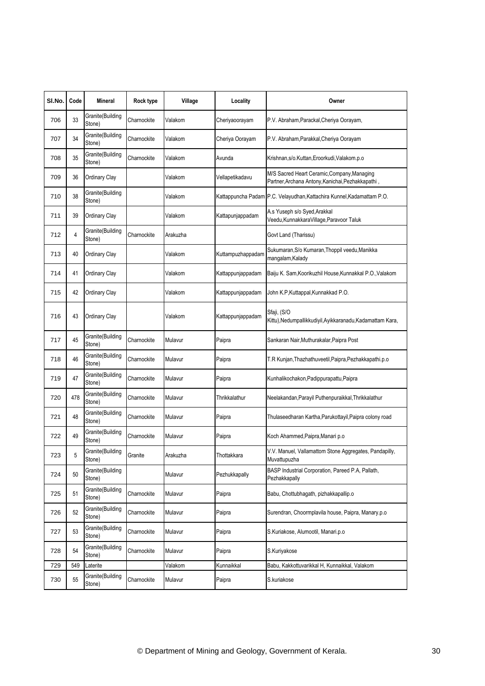| SI.No. | Code | Mineral                    | Rock type   | Village  | Locality          | Owner                                                                                            |
|--------|------|----------------------------|-------------|----------|-------------------|--------------------------------------------------------------------------------------------------|
| 706    | 33   | Granite(Building<br>Stone) | Charnockite | Valakom  | Cheriyaoorayam    | P.V. Abraham, Parackal, Cheriya Oorayam,                                                         |
| 707    | 34   | Granite(Building<br>Stone) | Charnockite | Valakom  | Cheriya Oorayam   | P.V. Abraham, Parakkal, Cheriya Oorayam                                                          |
| 708    | 35   | Granite(Building<br>Stone) | Charnockite | Valakom  | Avunda            | Krishnan,s/o.Kuttan,Eroorkudi,Valakom.p.o                                                        |
| 709    | 36   | Ordinary Clay              |             | Valakom  | Vellapetikadavu   | M/S Sacred Heart Ceramic, Company, Managing<br>Partner, Archana Antony, Kanichai, Pezhakkapathi, |
| 710    | 38   | Granite(Building<br>Stone) |             | Valakom  |                   | Kattappuncha Padam P.C. Velayudhan, Kattachira Kunnel, Kadamattam P.O.                           |
| 711    | 39   | Ordinary Clay              |             | Valakom  | Kattapunjappadam  | A.s Yuseph s/o Syed, Arakkal<br>Veedu, Kunnakkara Village, Paravoor Taluk                        |
| 712    | 4    | Granite(Building<br>Stone) | Charnockite | Arakuzha |                   | Govt Land (Tharissu)                                                                             |
| 713    | 40   | Ordinary Clay              |             | Valakom  | Kuttampuzhappadam | Sukumaran,S/o Kumaran,Thoppil veedu,Manikka<br>mangalam, Kalady                                  |
| 714    | 41   | Ordinary Clay              |             | Valakom  | Kattappunjappadam | Baiju K. Sam, Koorikuzhil House, Kunnakkal P.O., Valakom                                         |
| 715    | 42   | Ordinary Clay              |             | Valakom  | Kattappunjappadam | John K.P.Kuttappal,Kunnakkad P.O.                                                                |
| 716    | 43   | Ordinary Clay              |             | Valakom  | Kattappunjappadam | Sfaji, (S/O<br>Kittu),Nedumpallikkudiyil,Ayikkaranadu,Kadamattam Kara,                           |
| 717    | 45   | Granite(Building<br>Stone) | Charnockite | Mulavur  | Paipra            | Sankaran Nair, Muthurakalar, Paipra Post                                                         |
| 718    | 46   | Granite(Building<br>Stone) | Charnockite | Mulavur  | Paipra            | T.R Kunjan, Thazhathuveetil, Paipra, Pezhakkapathi.p.o                                           |
| 719    | 47   | Granite(Building<br>Stone) | Charnockite | Mulavur  | Paipra            | Kunhalikochakon, Padippurapattu, Paipra                                                          |
| 720    | 478  | Granite(Building<br>Stone) | Charnockite | Mulavur  | Thrikkalathur     | Neelakandan, Parayil Puthenpuraikkal, Thrikkalathur                                              |
| 721    | 48   | Granite(Building<br>Stone) | Charnockite | Mulavur  | Paipra            | Thulaseedharan Kartha, Parukottayil, Paipra colony road                                          |
| 722    | 49   | Granite(Building<br>Stone) | Charnockite | Mulavur  | Paipra            | Koch Ahammed, Paipra, Manari p.o                                                                 |
| 723    | 5    | Granite(Building<br>Stone) | Granite     | Arakuzha | Thottakkara       | V.V. Manuel, Vallamattom Stone Aggregates, Pandapilly,<br>Muvattupuzha                           |
| 724    | 50   | Granite(Building<br>Stone) |             | Mulavur  | Pezhukkapally     | BASP Industrial Corporation, Pareed P.A, Pallath,<br>Pezhakkapally                               |
| 725    | 51   | Granite(Building<br>Stone) | Charnockite | Mulavur  | Paipra            | Babu, Chottubhagath, pizhakkapallip.o                                                            |
| 726    | 52   | Granite(Building<br>Stone) | Charnockite | Mulavur  | Paipra            | Surendran, Choormplavila house, Paipra, Manary.p.o                                               |
| 727    | 53   | Granite(Building<br>Stone) | Charnockite | Mulavur  | Paipra            | S.Kuriakose, Alumootil, Manari.p.o                                                               |
| 728    | 54   | Granite(Building<br>Stone) | Charnockite | Mulavur  | Paipra            | S.Kuriyakose                                                                                     |
| 729    | 549  | Laterite                   |             | Valakom  | Kunnaikkal        | Babu, Kakkottuvarikkal H, Kunnaikkal, Valakom                                                    |
| 730    | 55   | Granite(Building<br>Stone) | Charnockite | Mulavur  | Paipra            | S.kuriakose                                                                                      |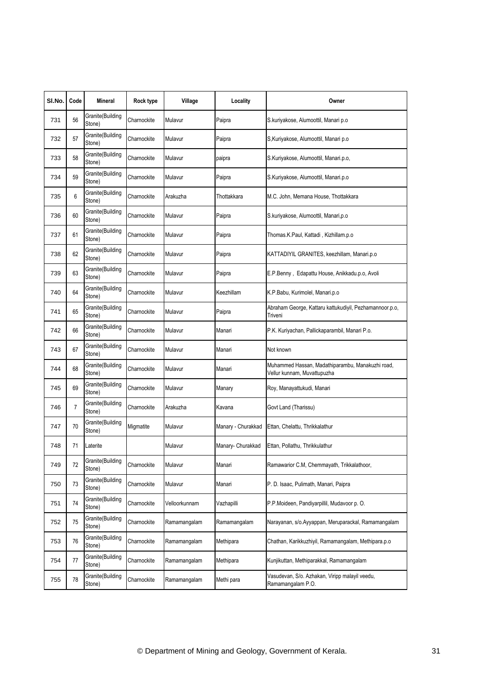| SI.No. | Code           | Mineral                    | Rock type   | Village       | Locality           | Owner                                                                           |
|--------|----------------|----------------------------|-------------|---------------|--------------------|---------------------------------------------------------------------------------|
| 731    | 56             | Granite(Building<br>Stone) | Charnockite | Mulavur       | Paipra             | S.kuriyakose, Alumoottil, Manari p.o.                                           |
| 732    | 57             | Granite(Building<br>Stone) | Charnockite | Mulavur       | Paipra             | S, Kuriyakose, Alumoottil, Manari p.o.                                          |
| 733    | 58             | Granite(Building<br>Stone) | Charnockite | Mulavur       | paipra             | S.Kuriyakose, Alumoottil, Manari.p.o,                                           |
| 734    | 59             | Granite(Building<br>Stone) | Charnockite | Mulavur       | Paipra             | S.Kuriyakose, Alumoottil, Manari.p.o                                            |
| 735    | 6              | Granite(Building<br>Stone) | Charnockite | Arakuzha      | Thottakkara        | M.C. John, Memana House, Thottakkara                                            |
| 736    | 60             | Granite(Building<br>Stone) | Charnockite | Mulavur       | Paipra             | S.kuriyakose, Alumoottil, Manari,p.o                                            |
| 737    | 61             | Granite(Building<br>Stone) | Charnockite | Mulavur       | Paipra             | Thomas.K.Paul, Kattadi, Kizhillam.p.o                                           |
| 738    | 62             | Granite(Building<br>Stone) | Charnockite | Mulavur       | Paipra             | KATTADIYIL GRANITES, keezhillam, Manari.p.o                                     |
| 739    | 63             | Granite(Building<br>Stone) | Charnockite | Mulavur       | Paipra             | E.P.Benny, Edapattu House, Anikkadu.p.o, Avoli                                  |
| 740    | 64             | Granite(Building<br>Stone) | Charnockite | Mulavur       | Keezhillam         | K.P.Babu, Kurimolel, Manari.p.o                                                 |
| 741    | 65             | Granite(Building<br>Stone) | Charnockite | Mulavur       | Paipra             | Abraham George, Kattaru kattukudiyil, Pezhamannoor.p.o.<br>Triveni              |
| 742    | 66             | Granite(Building<br>Stone) | Charnockite | Mulavur       | Manari             | P.K. Kuriyachan, Pallickaparambil, Manari P.o.                                  |
| 743    | 67             | Granite(Building<br>Stone) | Charnockite | Mulavur       | Manari             | Not known                                                                       |
| 744    | 68             | Granite(Building<br>Stone) | Charnockite | Mulavur       | Manari             | Muhammed Hassan, Madathiparambu, Manakuzhi road,<br>Vellur kunnam, Muvattupuzha |
| 745    | 69             | Granite(Building<br>Stone) | Charnockite | Mulavur       | Manary             | Roy, Manayattukudi, Manari                                                      |
| 746    | $\overline{7}$ | Granite(Building<br>Stone) | Charnockite | Arakuzha      | Kavana             | Govt Land (Tharissu)                                                            |
| 747    | 70             | Granite(Building<br>Stone) | Migmatite   | Mulavur       | Manary - Churakkad | Ettan, Chelattu, Thrikkalathur                                                  |
| 748    | 71             | Laterite                   |             | Mulavur       | Manary- Churakkad  | Ettan, Pollathu, Thrikkulathur                                                  |
| 749    | 72             | Granite(Building<br>Stone) | Charnockite | Mulavur       | Manari             | Ramawarior C.M, Chemmayath, Trikkalathoor,                                      |
| 750    | 73             | Granite(Building<br>Stone) | Charnockite | Mulavur       | Manari             | P. D. Isaac, Pulimath, Manari, Paipra                                           |
| 751    | 74             | Granite(Building<br>Stone) | Charnockite | Velloorkunnam | Vazhapilli         | P.P.Moideen, Pandiyarpillil, Mudavoor p. O.                                     |
| 752    | 75             | Granite(Building<br>Stone) | Charnockite | Ramamangalam  | Ramamangalam       | Narayanan, s/o.Ayyappan, Meruparackal, Ramamangalam                             |
| 753    | 76             | Granite(Building<br>Stone) | Charnockite | Ramamangalam  | Methipara          | Chathan, Karikkuzhiyil, Ramamangalam, Methipara.p.o                             |
| 754    | 77             | Granite(Building<br>Stone) | Charnockite | Ramamangalam  | Methipara          | Kunjikuttan, Methiparakkal, Ramamangalam                                        |
| 755    | 78             | Granite(Building<br>Stone) | Charnockite | Ramamangalam  | Methi para         | Vasudevan, S/o. Azhakan, Viripp malayil veedu,<br>Ramamangalam P.O.             |